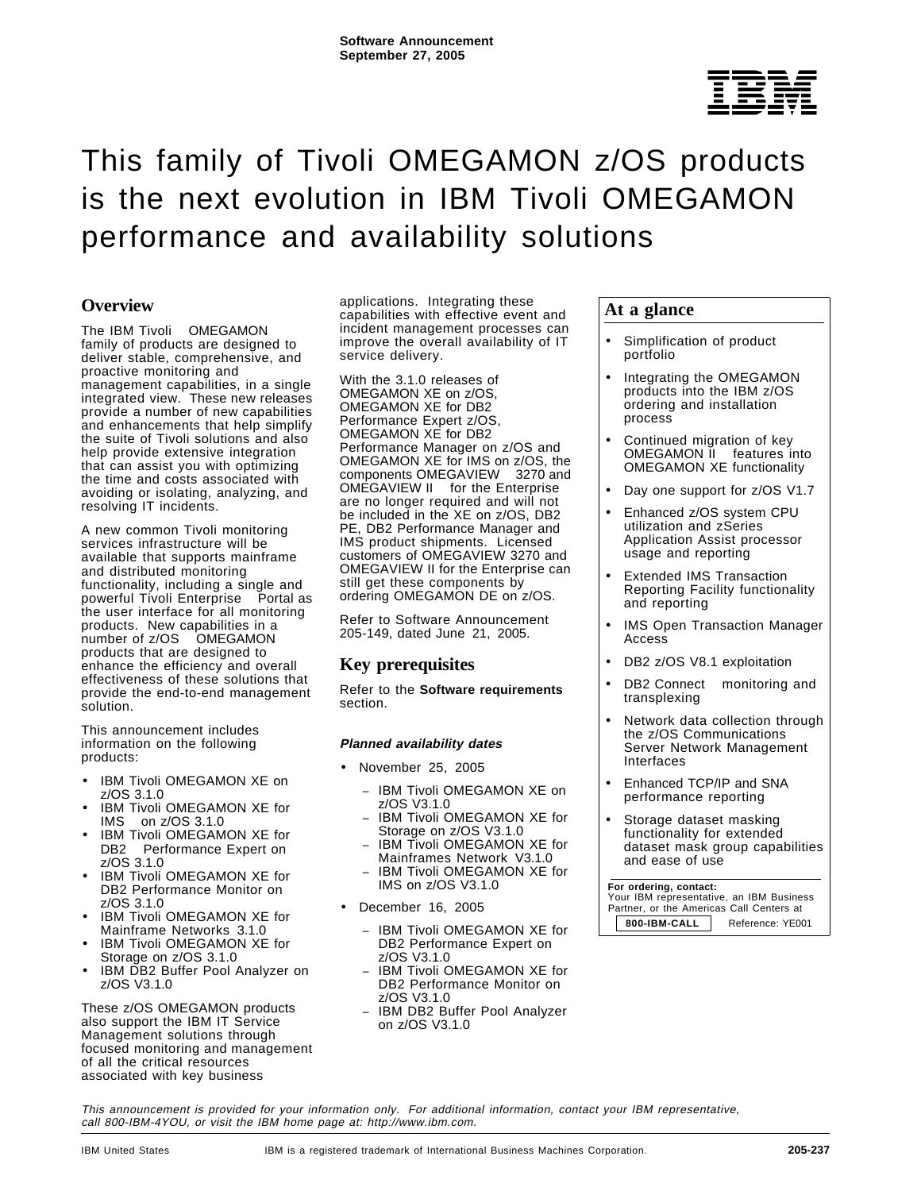

# This family of Tivoli OMEGAMON z/OS products is the next evolution in IBM Tivoli OMEGAMON performance and availability solutions

## **Overview**

The IBM Tivoli<sup>®</sup> OMEGAMON<sup>®</sup> family of products are designed to deliver stable, comprehensive, and proactive monitoring and management capabilities, in a single integrated view. These new releases provide a number of new capabilities and enhancements that help simplify the suite of Tivoli solutions and also help provide extensive integration that can assist you with optimizing the time and costs associated with avoiding or isolating, analyzing, and resolving IT incidents.

A new common Tivoli monitoring services infrastructure will be available that supports mainframe and distributed monitoring functionality, including a single and powerful Tivoli Enterprise<sup>™</sup> Portal as the user interface for all monitoring products. New capabilities in a number of z/OS® OMEGAMON products that are designed to enhance the efficiency and overall effectiveness of these solutions that provide the end-to-end management solution.

This announcement includes information on the following products:

- IBM Tivoli OMEGAMON XE on z/OS 3.1.0
- IBM Tivoli OMEGAMON XE for IMS $TM$  on  $Z/OS$  3.1.0
- IBM Tivoli OMEGAMON XE for DB2<sup>®</sup> Performance Expert on z/OS 3.1.0
- IBM Tivoli OMEGAMON XE for DB2 Performance Monitor on z/OS 3.1.0
- IBM Tivoli OMEGAMON XE for Mainframe Networks 3.1.0
- IBM Tivoli OMEGAMON XE for Storage on z/OS 3.1.0
- IBM DB2 Buffer Pool Analyzer on z/OS V3.1.0

These z/OS OMEGAMON products also support the IBM IT Service Management solutions through focused monitoring and management of all the critical resources associated with key business

applications. Integrating these capabilities with effective event and incident management processes can improve the overall availability of IT service delivery.

With the 3.1.0 releases of OMEGAMON XE on z/OS, OMEGAMON XE for DB2 Performance Expert z/OS, OMEGAMON XE for DB2 Performance Manager on z/OS and OMEGAMON XE for IMS on z/OS, the components OMEGAVIEW<sup>®</sup> 3270 and OMEGAVIEW II<sup>®</sup> for the Enterprise are no longer required and will not be included in the XE on z/OS, DB2 PE, DB2 Performance Manager and IMS product shipments. Licensed customers of OMEGAVIEW 3270 and OMEGAVIEW II for the Enterprise can still get these components by ordering OMEGAMON DE on z/OS.

Refer to Software Announcement 205-149, dated June 21, 2005.

## **Key prerequisites**

Refer to the **Software requirements** section.

#### **Planned availability dates**

- November 25, 2005
	- − IBM Tivoli OMEGAMON XE on z/OS V3.1.0
	- − IBM Tivoli OMEGAMON XE for Storage on z/OS V3.1.0
	- − IBM Tivoli OMEGAMON XE for Mainframes Network V3.1.0
	- − IBM Tivoli OMEGAMON XE for IMS on z/OS V3.1.0
- December 16, 2005
	- − IBM Tivoli OMEGAMON XE for DB2 Performance Expert on z/OS V3.1.0
	- − IBM Tivoli OMEGAMON XE for DB2 Performance Monitor on z/OS V3.1.0
	- − IBM DB2 Buffer Pool Analyzer on z/OS V3.1.0

## **At a glance**

- Simplification of product portfolio
- Integrating the OMEGAMON products into the IBM z/OS ordering and installation process
- Continued migration of key OMEGAMON II<sup>®</sup> features into OMEGAMON XE functionality
- Day one support for z/OS V1.7
- Enhanced z/OS system CPU utilization and zSeries Application Assist processor usage and reporting
- Extended IMS Transaction Reporting Facility functionality and reporting
- IMS Open Transaction Manager Access
- DB2 z/OS V8.1 exploitation
- DB2 Connect<sup>®</sup> monitoring and transplexing
- Network data collection through the z/OS Communications Server Network Management Interfaces
- Enhanced TCP/IP and SNA performance reporting
- Storage dataset masking functionality for extended dataset mask group capabilities and ease of use

#### **For ordering, contact:**

 Your IBM representative, an IBM Business Partner, or the Americas Call Centers at **800-IBM-CALL** Reference: YE001

This announcement is provided for your information only. For additional information, contact your IBM representative, call 800-IBM-4YOU, or visit the IBM home page at: http://www.ibm.com.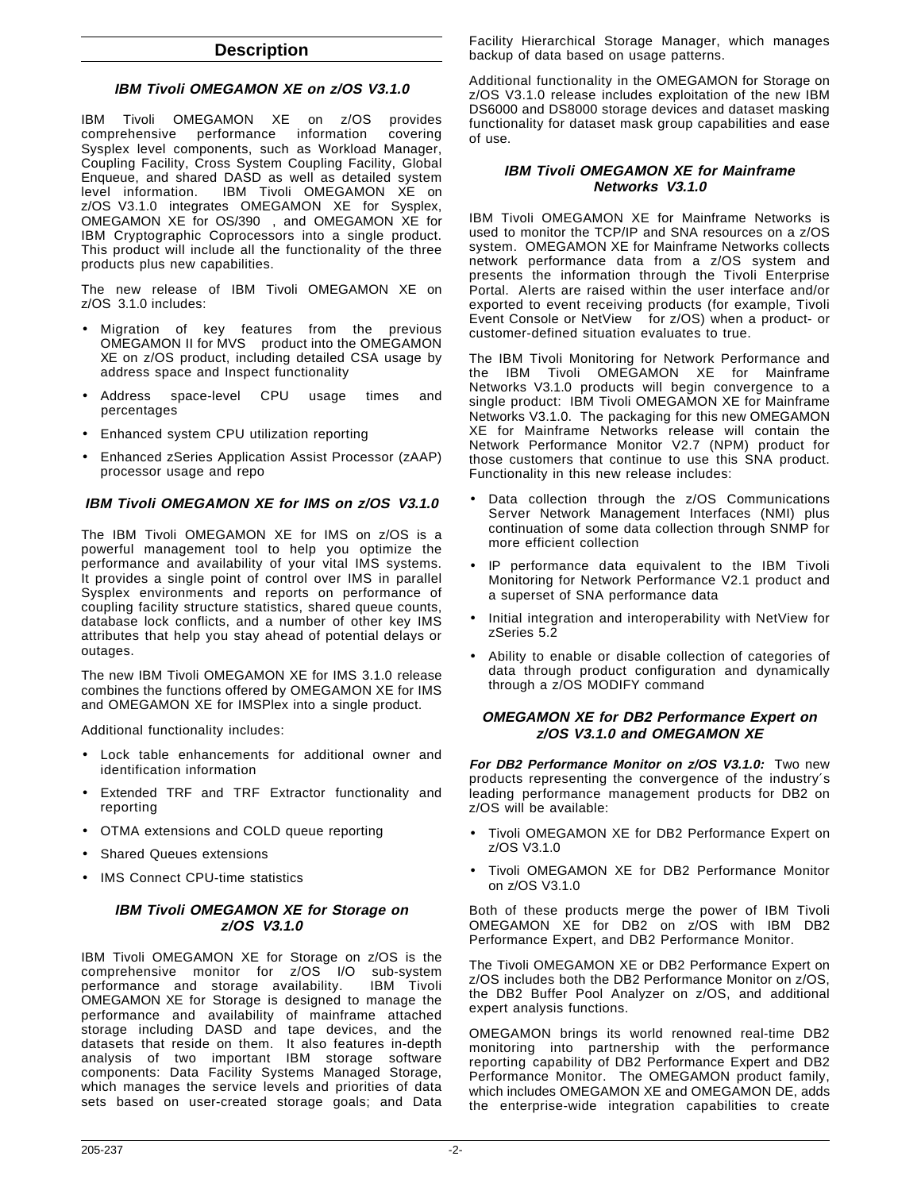#### **Description**

## **IBM Tivoli OMEGAMON XE on z/OS V3.1.0**

IBM Tivoli OMEGAMON XE on z/OS provides comprehensive performance information covering Sysplex level components, such as Workload Manager, Coupling Facility, Cross System Coupling Facility, Global Enqueue, and shared DASD as well as detailed system IBM Tivoli OMEGAMON XE on z/OS V3.1.0 integrates OMEGAMON XE for Sysplex, OMEGAMON XE for OS/390®, and OMEGAMON XE for IBM Cryptographic Coprocessors into a single product. This product will include all the functionality of the three products plus new capabilities.

The new release of IBM Tivoli OMEGAMON XE on z/OS 3.1.0 includes:

- Migration of key features from the previous OMEGAMON II for MVS™ product into the OMEGAMON XE on z/OS product, including detailed CSA usage by address space and Inspect functionality
- Address space-level CPU usage times and percentages
- Enhanced system CPU utilization reporting
- Enhanced zSeries Application Assist Processor (zAAP) processor usage and repo

## **IBM Tivoli OMEGAMON XE for IMS on z/OS V3.1.0**

The IBM Tivoli OMEGAMON XE for IMS on z/OS is a powerful management tool to help you optimize the performance and availability of your vital IMS systems. It provides a single point of control over IMS in parallel Sysplex environments and reports on performance of coupling facility structure statistics, shared queue counts, database lock conflicts, and a number of other key IMS attributes that help you stay ahead of potential delays or outages.

The new IBM Tivoli OMEGAMON XE for IMS 3.1.0 release combines the functions offered by OMEGAMON XE for IMS and OMEGAMON XE for IMSPlex into a single product.

Additional functionality includes:

- Lock table enhancements for additional owner and identification information
- Extended TRF and TRF Extractor functionality and reporting
- OTMA extensions and COLD queue reporting
- Shared Queues extensions
- IMS Connect CPU-time statistics

#### **IBM Tivoli OMEGAMON XE for Storage on z/OS V3.1.0**

IBM Tivoli OMEGAMON XE for Storage on z/OS is the comprehensive monitor for z/OS I/O sub-system<br>performance and storage availability. IBM Tivoli performance and storage availability. OMEGAMON XE for Storage is designed to manage the performance and availability of mainframe attached storage including DASD and tape devices, and the datasets that reside on them. It also features in-depth analysis of two important IBM storage software components: Data Facility Systems Managed Storage, which manages the service levels and priorities of data sets based on user-created storage goals; and Data

Facility Hierarchical Storage Manager, which manages backup of data based on usage patterns.

Additional functionality in the OMEGAMON for Storage on z/OS V3.1.0 release includes exploitation of the new IBM DS6000 and DS8000 storage devices and dataset masking functionality for dataset mask group capabilities and ease of use.

#### **IBM Tivoli OMEGAMON XE for Mainframe Networks V3.1.0**

IBM Tivoli OMEGAMON XE for Mainframe Networks is used to monitor the TCP/IP and SNA resources on a z/OS system. OMEGAMON XE for Mainframe Networks collects network performance data from a z/OS system and presents the information through the Tivoli Enterprise Portal. Alerts are raised within the user interface and/or exported to event receiving products (for example, Tivoli Event Console or NetView<sup>®</sup> for z/OS) when a product- or customer-defined situation evaluates to true.

The IBM Tivoli Monitoring for Network Performance and the IBM Tivoli OMEGAMON XE for Mainframe Networks V3.1.0 products will begin convergence to a single product: IBM Tivoli OMEGAMON XE for Mainframe Networks V3.1.0. The packaging for this new OMEGAMON XE for Mainframe Networks release will contain the Network Performance Monitor V2.7 (NPM) product for those customers that continue to use this SNA product. Functionality in this new release includes:

- Data collection through the z/OS Communications Server Network Management Interfaces (NMI) plus continuation of some data collection through SNMP for more efficient collection
- IP performance data equivalent to the IBM Tivoli Monitoring for Network Performance V2.1 product and a superset of SNA performance data
- Initial integration and interoperability with NetView for zSeries 5.2
- Ability to enable or disable collection of categories of data through product configuration and dynamically through a z/OS MODIFY command

#### **OMEGAMON XE for DB2 Performance Expert on z/OS V3.1.0 and OMEGAMON XE**

**For DB2 Performance Monitor on z/OS V3.1.0:** Two new products representing the convergence of the industry′s leading performance management products for DB2 on z/OS will be available:

- Tivoli OMEGAMON XE for DB2 Performance Expert on z/OS V3.1.0
- Tivoli OMEGAMON XE for DB2 Performance Monitor on z/OS V3.1.0

Both of these products merge the power of IBM Tivoli OMEGAMON XE for DB2 on z/OS with IBM DB2 Performance Expert, and DB2 Performance Monitor.

The Tivoli OMEGAMON XE or DB2 Performance Expert on z/OS includes both the DB2 Performance Monitor on z/OS, the DB2 Buffer Pool Analyzer on z/OS, and additional expert analysis functions.

OMEGAMON brings its world renowned real-time DB2 monitoring into partnership with the performance reporting capability of DB2 Performance Expert and DB2 Performance Monitor. The OMEGAMON product family, which includes OMEGAMON XE and OMEGAMON DE, adds the enterprise-wide integration capabilities to create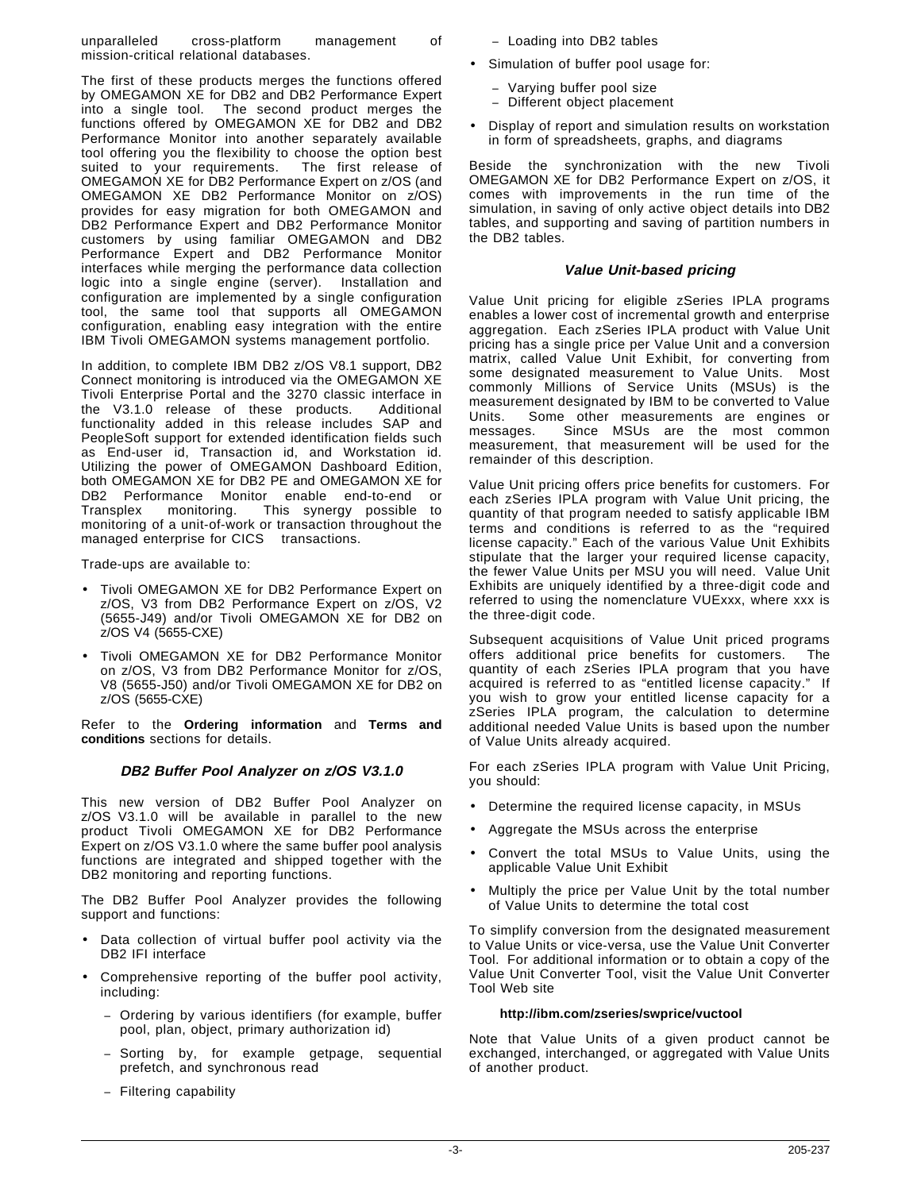unparalleled cross-platform management of mission-critical relational databases.

The first of these products merges the functions offered by OMEGAMON XE for DB2 and DB2 Performance Expert into a single tool. The second product merges the functions offered by OMEGAMON XE for DB2 and DB2 Performance Monitor into another separately available tool offering you the flexibility to choose the option best suited to your requirements. The first release of OMEGAMON XE for DB2 Performance Expert on z/OS (and OMEGAMON XE DB2 Performance Monitor on z/OS) provides for easy migration for both OMEGAMON and DB2 Performance Expert and DB2 Performance Monitor customers by using familiar OMEGAMON and DB2 Performance Expert and DB2 Performance Monitor interfaces while merging the performance data collection logic into a single engine (server). Installation and configuration are implemented by a single configuration tool, the same tool that supports all OMEGAMON configuration, enabling easy integration with the entire IBM Tivoli OMEGAMON systems management portfolio.

In addition, to complete IBM DB2 z/OS V8.1 support, DB2 Connect monitoring is introduced via the OMEGAMON XE Tivoli Enterprise Portal and the 3270 classic interface in the V3.1.0 release of these products. Additional functionality added in this release includes SAP and PeopleSoft support for extended identification fields such as End-user id, Transaction id, and Workstation id. Utilizing the power of OMEGAMON Dashboard Edition, both OMEGAMON XE for DB2 PE and OMEGAMON XE for DB2 Performance Monitor enable end-to-end or Transplex<sup>®</sup> monitoring. This synergy possible to monitoring of a unit-of-work or transaction throughout the managed enterprise for CICS<sup>®</sup> transactions.

Trade-ups are available to:

- Tivoli OMEGAMON XE for DB2 Performance Expert on z/OS, V3 from DB2 Performance Expert on z/OS, V2 (5655-J49) and/or Tivoli OMEGAMON XE for DB2 on z/OS V4 (5655-CXE)
- Tivoli OMEGAMON XE for DB2 Performance Monitor on z/OS, V3 from DB2 Performance Monitor for z/OS, V8 (5655-J50) and/or Tivoli OMEGAMON XE for DB2 on z/OS (5655-CXE)

Refer to the **Ordering information** and **Terms and conditions** sections for details.

#### **DB2 Buffer Pool Analyzer on z/OS V3.1.0**

This new version of DB2 Buffer Pool Analyzer on z/OS V3.1.0 will be available in parallel to the new product Tivoli OMEGAMON XE for DB2 Performance Expert on z/OS V3.1.0 where the same buffer pool analysis functions are integrated and shipped together with the DB2 monitoring and reporting functions.

The DB2 Buffer Pool Analyzer provides the following support and functions:

- Data collection of virtual buffer pool activity via the DB2 IFI interface
- Comprehensive reporting of the buffer pool activity, including:
	- − Ordering by various identifiers (for example, buffer pool, plan, object, primary authorization id)
	- − Sorting by, for example getpage, sequential prefetch, and synchronous read
	- − Filtering capability
- − Loading into DB2 tables
- Simulation of buffer pool usage for:
	- − Varying buffer pool size
	- − Different object placement
- Display of report and simulation results on workstation in form of spreadsheets, graphs, and diagrams

Beside the synchronization with the new Tivoli OMEGAMON XE for DB2 Performance Expert on z/OS, it comes with improvements in the run time of the simulation, in saving of only active object details into DB2 tables, and supporting and saving of partition numbers in the DB2 tables.

#### **Value Unit-based pricing**

Value Unit pricing for eligible zSeries IPLA programs enables a lower cost of incremental growth and enterprise aggregation. Each zSeries IPLA product with Value Unit pricing has a single price per Value Unit and a conversion matrix, called Value Unit Exhibit, for converting from some designated measurement to Value Units. Most commonly Millions of Service Units (MSUs) is the measurement designated by IBM to be converted to Value Units. Some other measurements are engines or messages. Since MSUs are the most common measurement, that measurement will be used for the remainder of this description.

Value Unit pricing offers price benefits for customers. For each zSeries IPLA program with Value Unit pricing, the quantity of that program needed to satisfy applicable IBM terms and conditions is referred to as the "required license capacity." Each of the various Value Unit Exhibits stipulate that the larger your required license capacity, the fewer Value Units per MSU you will need. Value Unit Exhibits are uniquely identified by a three-digit code and referred to using the nomenclature VUExxx, where xxx is the three-digit code.

Subsequent acquisitions of Value Unit priced programs offers additional price benefits for customers. The quantity of each zSeries IPLA program that you have acquired is referred to as "entitled license capacity." If you wish to grow your entitled license capacity for a zSeries IPLA program, the calculation to determine additional needed Value Units is based upon the number of Value Units already acquired.

For each zSeries IPLA program with Value Unit Pricing, you should:

- Determine the required license capacity, in MSUs
- Aggregate the MSUs across the enterprise
- Convert the total MSUs to Value Units, using the applicable Value Unit Exhibit
- Multiply the price per Value Unit by the total number of Value Units to determine the total cost

To simplify conversion from the designated measurement to Value Units or vice-versa, use the Value Unit Converter Tool. For additional information or to obtain a copy of the Value Unit Converter Tool, visit the Value Unit Converter Tool Web site

#### **http://ibm.com/zseries/swprice/vuctool**

Note that Value Units of a given product cannot be exchanged, interchanged, or aggregated with Value Units of another product.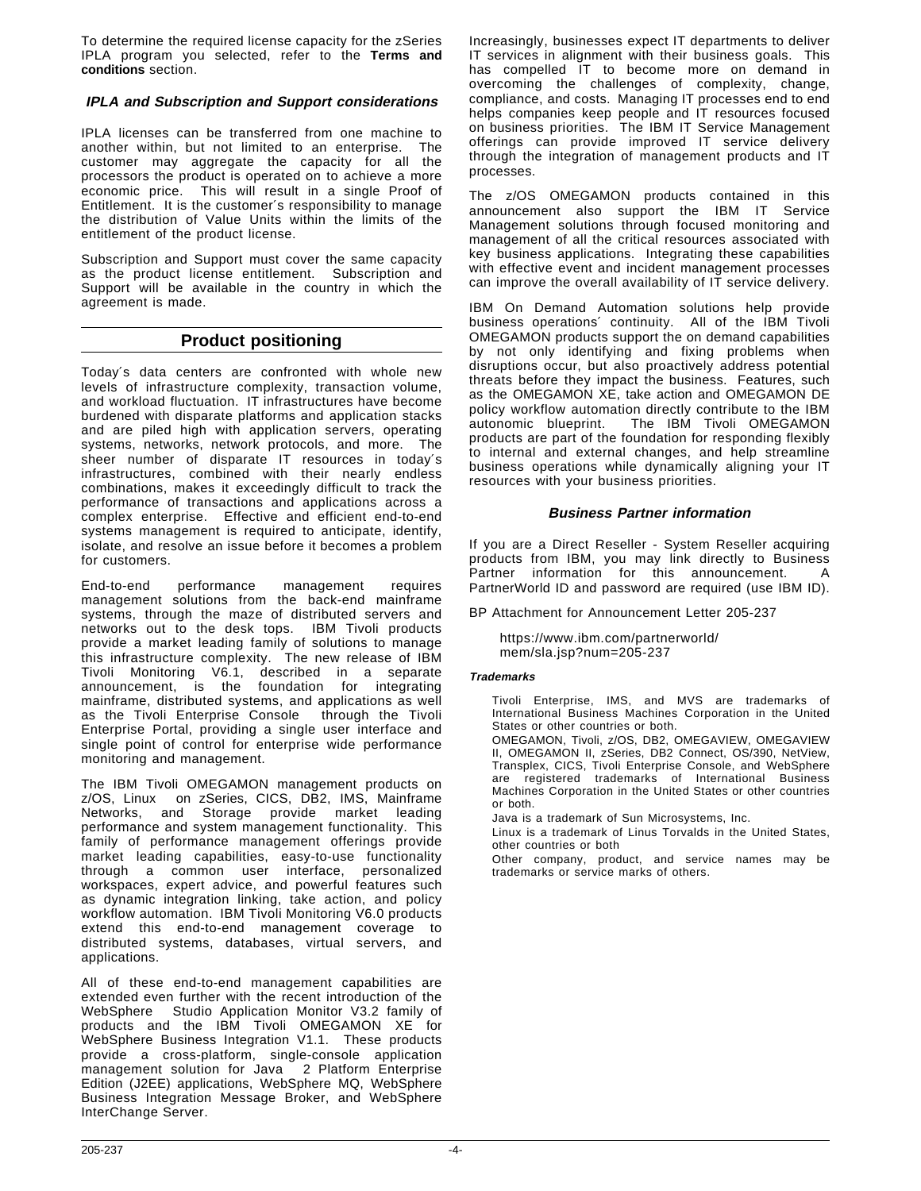To determine the required license capacity for the zSeries IPLA program you selected, refer to the **Terms and conditions** section.

#### **IPLA and Subscription and Support considerations**

IPLA licenses can be transferred from one machine to another within, but not limited to an enterprise. The customer may aggregate the capacity for all the processors the product is operated on to achieve a more economic price. This will result in a single Proof of Entitlement. It is the customer′s responsibility to manage the distribution of Value Units within the limits of the entitlement of the product license.

Subscription and Support must cover the same capacity as the product license entitlement. Subscription and Support will be available in the country in which the agreement is made.

## **Product positioning**

Today′s data centers are confronted with whole new levels of infrastructure complexity, transaction volume, and workload fluctuation. IT infrastructures have become burdened with disparate platforms and application stacks and are piled high with application servers, operating systems, networks, network protocols, and more. The sheer number of disparate IT resources in today′s infrastructures, combined with their nearly endless combinations, makes it exceedingly difficult to track the performance of transactions and applications across a complex enterprise. Effective and efficient end-to-end systems management is required to anticipate, identify, isolate, and resolve an issue before it becomes a problem for customers.

End-to-end performance management requires management solutions from the back-end mainframe systems, through the maze of distributed servers and networks out to the desk tops. IBM Tivoli products provide a market leading family of solutions to manage this infrastructure complexity. The new release of IBM Tivoli Monitoring V6.1, described in a separate announcement, is the foundation for integrating mainframe, distributed systems, and applications as well as the Tivoli Enterprise Console<sup>®</sup> through the Tivoli Enterprise Portal, providing a single user interface and single point of control for enterprise wide performance monitoring and management.

The IBM Tivoli OMEGAMON management products on z/OS, Linux<sup>™</sup> on zSeries, CICS, DB2, IMS, Mainframe Networks, and Storage provide market leading performance and system management functionality. This family of performance management offerings provide market leading capabilities, easy-to-use functionality through a common user interface, personalized workspaces, expert advice, and powerful features such as dynamic integration linking, take action, and policy workflow automation. IBM Tivoli Monitoring V6.0 products extend this end-to-end management coverage to distributed systems, databases, virtual servers, and applications.

All of these end-to-end management capabilities are extended even further with the recent introduction of the WebSphere<sup>®</sup> Studio Application Monitor V3.2 family of products and the IBM Tivoli OMEGAMON XE for WebSphere Business Integration V1.1. These products provide a cross-platform, single-console application management solution for Java<sup>TM</sup> 2 Platform Enterprise Edition (J2EE) applications, WebSphere MQ, WebSphere Business Integration Message Broker, and WebSphere InterChange Server.

Increasingly, businesses expect IT departments to deliver IT services in alignment with their business goals. This has compelled IT to become more on demand in overcoming the challenges of complexity, change, compliance, and costs. Managing IT processes end to end helps companies keep people and IT resources focused on business priorities. The IBM IT Service Management offerings can provide improved IT service delivery through the integration of management products and IT processes.

The z/OS OMEGAMON products contained in this announcement also support the IBM IT Service Management solutions through focused monitoring and management of all the critical resources associated with key business applications. Integrating these capabilities with effective event and incident management processes can improve the overall availability of IT service delivery.

IBM On Demand Automation solutions help provide business operations′ continuity. All of the IBM Tivoli OMEGAMON products support the on demand capabilities by not only identifying and fixing problems when disruptions occur, but also proactively address potential threats before they impact the business. Features, such as the OMEGAMON XE, take action and OMEGAMON DE policy workflow automation directly contribute to the IBM autonomic blueprint. The IBM Tivoli OMEGAMON products are part of the foundation for responding flexibly to internal and external changes, and help streamline business operations while dynamically aligning your IT resources with your business priorities.

#### **Business Partner information**

If you are a Direct Reseller - System Reseller acquiring products from IBM, you may link directly to Business Partner information for this announcement. A PartnerWorld ID and password are required (use IBM ID).

BP Attachment for Announcement Letter 205-237

https://www.ibm.com/partnerworld/ mem/sla.jsp?num=205-237

#### **Trademarks**

Tivoli Enterprise, IMS, and MVS are trademarks of International Business Machines Corporation in the United States or other countries or both.

OMEGAMON, Tivoli, z/OS, DB2, OMEGAVIEW, OMEGAVIEW II, OMEGAMON II, zSeries, DB2 Connect, OS/390, NetView, Transplex, CICS, Tivoli Enterprise Console, and WebSphere are registered trademarks of International Business Machines Corporation in the United States or other countries or both.

Java is a trademark of Sun Microsystems, Inc.

Linux is a trademark of Linus Torvalds in the United States, other countries or both

Other company, product, and service names may be trademarks or service marks of others.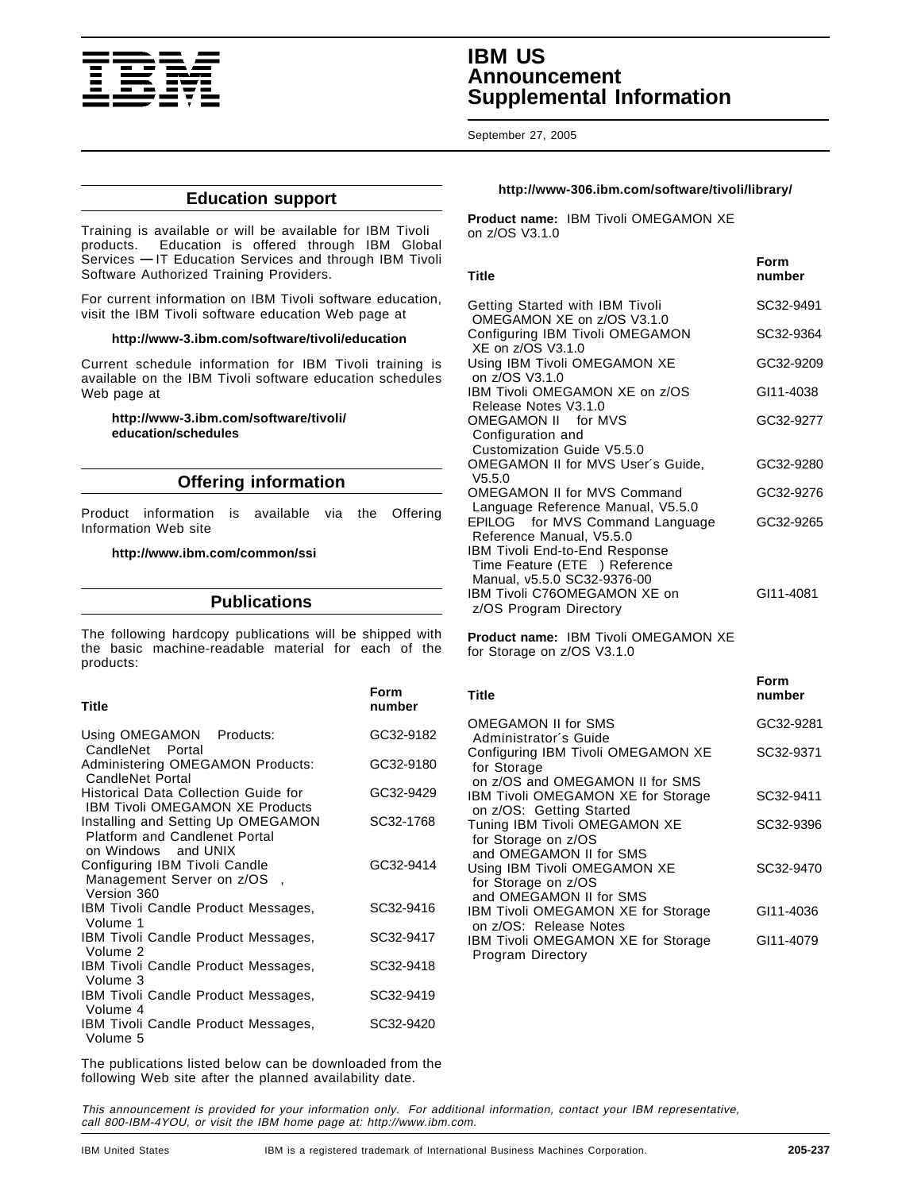

## **IBM US Announcement Supplemental Information**

September 27, 2005

#### **Education support**

Training is available or will be available for IBM Tivoli products. Education is offered through IBM Global Services **—** IT Education Services and through IBM Tivoli Software Authorized Training Providers.

For current information on IBM Tivoli software education, visit the IBM Tivoli software education Web page at

#### **http://www-3.ibm.com/software/tivoli/education**

Current schedule information for IBM Tivoli training is available on the IBM Tivoli software education schedules Web page at

#### **http://www-3.ibm.com/software/tivoli/ education/schedules**

#### **Offering information**

Product information is available via the Offering Information Web site

#### **http://www.ibm.com/common/ssi**

#### **Publications**

The following hardcopy publications will be shipped with the basic machine-readable material for each of the products:

| <b>Title</b>                                                                                          | Form<br>number |
|-------------------------------------------------------------------------------------------------------|----------------|
| Using OMEGAMON <sup>®</sup> Products:<br>CandleNet® Portal                                            | GC32-9182      |
| Administering OMEGAMON Products:<br>CandleNet Portal®                                                 | GC32-9180      |
| Historical Data Collection Guide for<br><b>IBM Tivoli OMEGAMON XE Products</b>                        | GC32-9429      |
| Installing and Setting Up OMEGAMON<br><b>Platform and Candlenet Portal</b><br>on Windows™ and UNIX®   | SC32-1768      |
| Configuring IBM Tivoli Candle <sup>®</sup><br>Management Server on z/OS <sup>®</sup> ,<br>Version 360 | GC32-9414      |
| IBM Tivoli Candle Product Messages,<br>Volume 1                                                       | SC32-9416      |
| IBM Tivoli Candle Product Messages,<br>Volume 2                                                       | SC32-9417      |
| IBM Tivoli Candle Product Messages,<br>Volume 3                                                       | SC32-9418      |
| IBM Tivoli Candle Product Messages,<br>Volume 4                                                       | SC32-9419      |
| IBM Tivoli Candle Product Messages,<br>Volume 5                                                       | SC32-9420      |

The publications listed below can be downloaded from the following Web site after the planned availability date.

#### **http://www-306.ibm.com/software/tivoli/library/**

**Product name:** IBM Tivoli OMEGAMON XE on z/OS V3.1.0

| Title                                                                                                                                  | Form<br>number |
|----------------------------------------------------------------------------------------------------------------------------------------|----------------|
| Getting Started with IBM Tivoli<br>OMEGAMON XE on z/OS V3.1.0                                                                          | SC32-9491      |
| Configuring IBM Tivoli OMEGAMON<br>XE on z/OS V3.1.0                                                                                   | SC32-9364      |
| Using IBM Tivoli OMEGAMON XE<br>on z/OS V3.1.0                                                                                         | GC32-9209      |
| IBM Tivoli OMEGAMON XE on z/OS<br>Release Notes V3.1.0                                                                                 | GI11-4038      |
| OMEGAMON II® for MVS™<br>Configuration and<br>Customization Guide V5.5.0                                                               | GC32-9277      |
| OMEGAMON II for MVS User's Guide,<br>V5.5.0                                                                                            | GC32-9280      |
| <b>OMEGAMON II for MVS Command</b><br>Language Reference Manual, V5.5.0                                                                | GC32-9276      |
| EPILOG® for MVS Command Language<br>Reference Manual, V5.5.0<br><b>IBM Tivoli End-to-End Response</b><br>Time Feature (ETE®) Reference | GC32-9265      |
| Manual, v5.5.0 SC32-9376-00<br>IBM Tivoli C76OMEGAMON XE on<br>z/OS Program Directory                                                  | GI11-4081      |

**Product name:** IBM Tivoli OMEGAMON XE for Storage on z/OS V3.1.0

| <b>Title</b>                                                                     | number    |
|----------------------------------------------------------------------------------|-----------|
| OMEGAMON II for SMS<br>Administrator's Guide                                     | GC32-9281 |
| Configuring IBM Tivoli OMEGAMON XE<br>for Storage                                | SC32-9371 |
| on z/OS and OMEGAMON II for SMS                                                  |           |
| <b>IBM Tivoli OMEGAMON XE for Storage</b>                                        | SC32-9411 |
| on z/OS: Getting Started<br>Tuning IBM Tivoli OMEGAMON XE<br>for Storage on z/OS | SC32-9396 |
| and OMEGAMON II for SMS                                                          |           |
| Using IBM Tivoli OMEGAMON XE                                                     | SC32-9470 |
| for Storage on z/OS<br>and OMEGAMON II for SMS                                   |           |
| IBM Tivoli OMEGAMON XE for Storage                                               | GI11-4036 |
| on z/OS: Release Notes                                                           |           |
| <b>IBM Tivoli OMEGAMON XE for Storage</b>                                        | GI11-4079 |
| Program Directory                                                                |           |

This announcement is provided for your information only. For additional information, contact your IBM representative, call 800-IBM-4YOU, or visit the IBM home page at: http://www.ibm.com.

**Form**

**Form**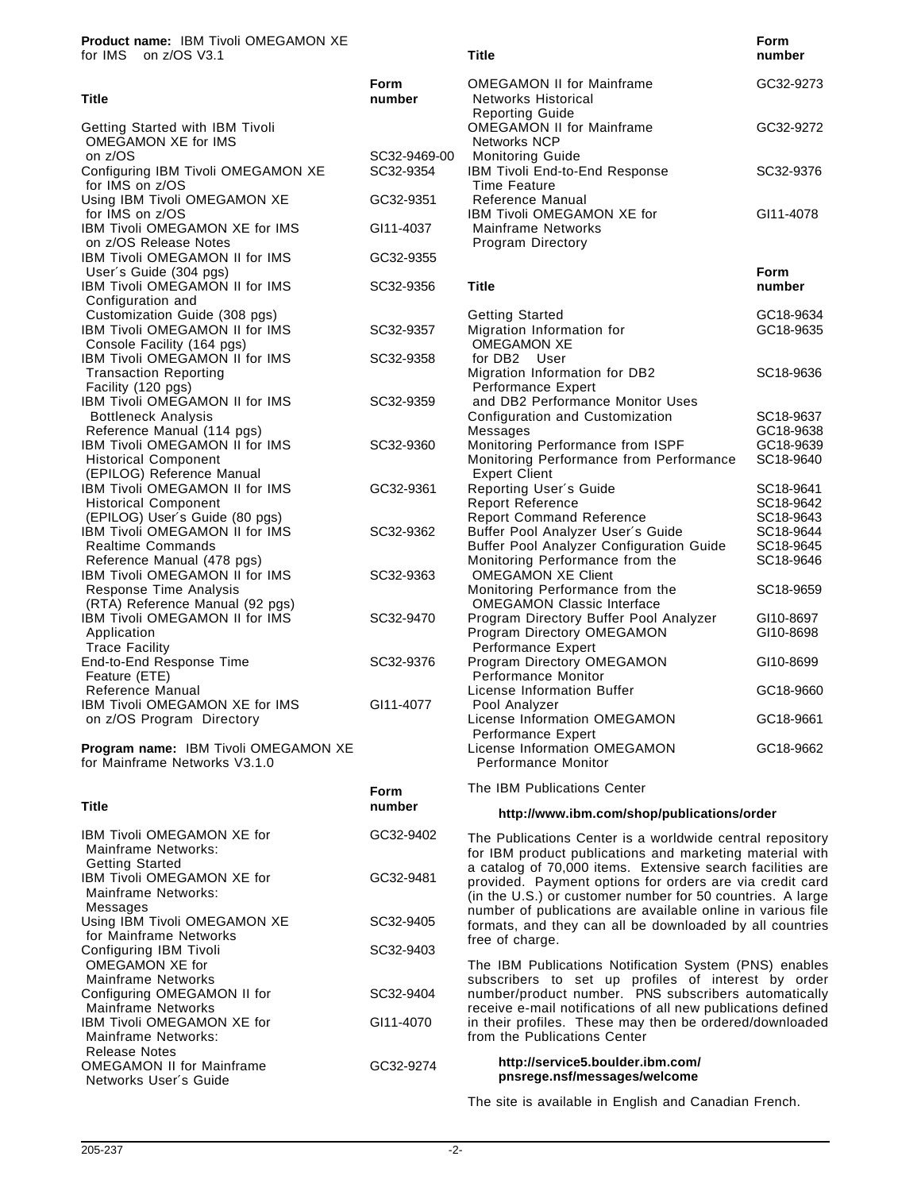**Product name:** IBM Tivoli OMEGAMON XE

| for IMS™ on z/OS V3.1                                                                                |                           | <b>Title</b>                                                                                                     | number                              |
|------------------------------------------------------------------------------------------------------|---------------------------|------------------------------------------------------------------------------------------------------------------|-------------------------------------|
| <b>Title</b>                                                                                         | Form<br>number            | <b>OMEGAMON II for Mainframe</b><br>Networks Historical<br><b>Reporting Guide</b>                                | GC32-9273                           |
| Getting Started with IBM Tivoli<br>OMEGAMON XE for IMS                                               |                           | <b>OMEGAMON II for Mainframe</b><br><b>Networks NCP</b>                                                          | GC32-9272                           |
| on z/OS<br>Configuring IBM Tivoli OMEGAMON XE<br>for IMS on z/OS                                     | SC32-9469-00<br>SC32-9354 | <b>Monitoring Guide</b><br>IBM Tivoli End-to-End Response<br>Time Feature                                        | SC32-9376                           |
| Using IBM Tivoli OMEGAMON XE<br>for IMS on z/OS                                                      | GC32-9351                 | Reference Manual<br>IBM Tivoli OMEGAMON XE for                                                                   | GI11-4078                           |
| IBM Tivoli OMEGAMON XE for IMS<br>on z/OS Release Notes                                              | GI11-4037                 | <b>Mainframe Networks</b><br>Program Directory                                                                   |                                     |
| <b>IBM Tivoli OMEGAMON II for IMS</b>                                                                | GC32-9355                 |                                                                                                                  | <b>Form</b>                         |
| User's Guide (304 pgs)<br>IBM Tivoli OMEGAMON II for IMS<br>Configuration and                        | SC32-9356                 | <b>Title</b>                                                                                                     | number                              |
| Customization Guide (308 pgs)<br><b>IBM Tivoli OMEGAMON II for IMS</b><br>Console Facility (164 pgs) | SC32-9357                 | <b>Getting Started</b><br>Migration Information for<br><b>OMEGAMON XE</b>                                        | GC18-9634<br>GC18-9635              |
| IBM Tivoli OMEGAMON II for IMS<br><b>Transaction Reporting</b><br>Facility (120 pgs)                 | SC32-9358                 | for DB2 <sup>®</sup> User<br>Migration Information for DB2<br>Performance Expert                                 | SC18-9636                           |
| IBM Tivoli OMEGAMON II for IMS<br><b>Bottleneck Analysis</b>                                         | SC32-9359                 | and DB2 Performance Monitor Uses<br>Configuration and Customization                                              | SC18-9637                           |
| Reference Manual (114 pgs)<br>IBM Tivoli OMEGAMON II for IMS<br><b>Historical Component</b>          | SC32-9360                 | Messages<br>Monitoring Performance from ISPF<br>Monitoring Performance from Performance                          | GC18-9638<br>GC18-9639<br>SC18-9640 |
| (EPILOG) Reference Manual<br>IBM Tivoli OMEGAMON II for IMS<br><b>Historical Component</b>           | GC32-9361                 | <b>Expert Client</b><br>Reporting User's Guide<br><b>Report Reference</b>                                        | SC18-9641<br>SC18-9642              |
| (EPILOG) User's Guide (80 pgs)<br>IBM Tivoli OMEGAMON II for IMS<br><b>Realtime Commands</b>         | SC32-9362                 | <b>Report Command Reference</b><br>Buffer Pool Analyzer User's Guide<br>Buffer Pool Analyzer Configuration Guide | SC18-9643<br>SC18-9644<br>SC18-9645 |
| Reference Manual (478 pgs)<br><b>IBM Tivoli OMEGAMON II for IMS</b>                                  | SC32-9363                 | Monitoring Performance from the<br><b>OMEGAMON XE Client</b>                                                     | SC18-9646                           |
| Response Time Analysis<br>(RTA) Reference Manual (92 pgs)                                            |                           | Monitoring Performance from the<br><b>OMEGAMON Classic Interface</b>                                             | SC18-9659                           |
| IBM Tivoli OMEGAMON II for IMS<br>Application<br><b>Trace Facility</b>                               | SC32-9470                 | Program Directory Buffer Pool Analyzer<br>Program Directory OMEGAMON<br>Performance Expert                       | GI10-8697<br>GI10-8698              |
| End-to-End Response Time<br>Feature (ETE)                                                            | SC32-9376                 | Program Directory OMEGAMON<br>Performance Monitor                                                                | GI10-8699                           |
| Reference Manual<br>IBM Tivoli OMEGAMON XE for IMS                                                   | GI11-4077                 | License Information Buffer<br>Pool Analyzer                                                                      | GC18-9660                           |
| on z/OS Program Directory                                                                            |                           | License Information OMEGAMON<br>Performance Expert                                                               | GC18-9661                           |
| Program name: IBM Tivoli OMEGAMON XE                                                                 |                           | License Information OMEGAMON                                                                                     | GC18-9662                           |

**Form**

**Program name:** IBM Tivoli OMEGAMON XE for Mainframe Networks V3.1.0

| Title                                                                       | number    |
|-----------------------------------------------------------------------------|-----------|
| IBM Tivoli OMEGAMON XE for<br>Mainframe Networks:<br><b>Getting Started</b> | GC32-9402 |
| <b>IBM Tivoli OMEGAMON XE for</b><br>Mainframe Networks:<br>Messages        | GC32-9481 |
| Using IBM Tivoli OMEGAMON XE                                                | SC32-9405 |
| for Mainframe Networks                                                      |           |
| Configuring IBM Tivoli<br>OMEGAMON XE for<br>Mainframe Networks             | SC32-9403 |
| Configuring OMEGAMON II for                                                 | SC32-9404 |
| Mainframe Networks                                                          |           |
| IBM Tivoli OMEGAMON XE for<br>Mainframe Networks:<br>Release Notes          | GI11-4070 |
| <b>OMEGAMON II for Mainframe</b><br>Networks User's Guide                   | GC32-9274 |

The IBM Publications Center

Performance Monitor

#### **http://www.ibm.com/shop/publications/order**

**Form**

The Publications Center is a worldwide central repository for IBM product publications and marketing material with a catalog of 70,000 items. Extensive search facilities are provided. Payment options for orders are via credit card (in the U.S.) or customer number for 50 countries. A large number of publications are available online in various file formats, and they can all be downloaded by all countries free of charge.

The IBM Publications Notification System (PNS) enables subscribers to set up profiles of interest by order number/product number. PNS subscribers automatically receive e-mail notifications of all new publications defined in their profiles. These may then be ordered/downloaded from the Publications Center

#### **http://service5.boulder.ibm.com/ pnsrege.nsf/messages/welcome**

The site is available in English and Canadian French.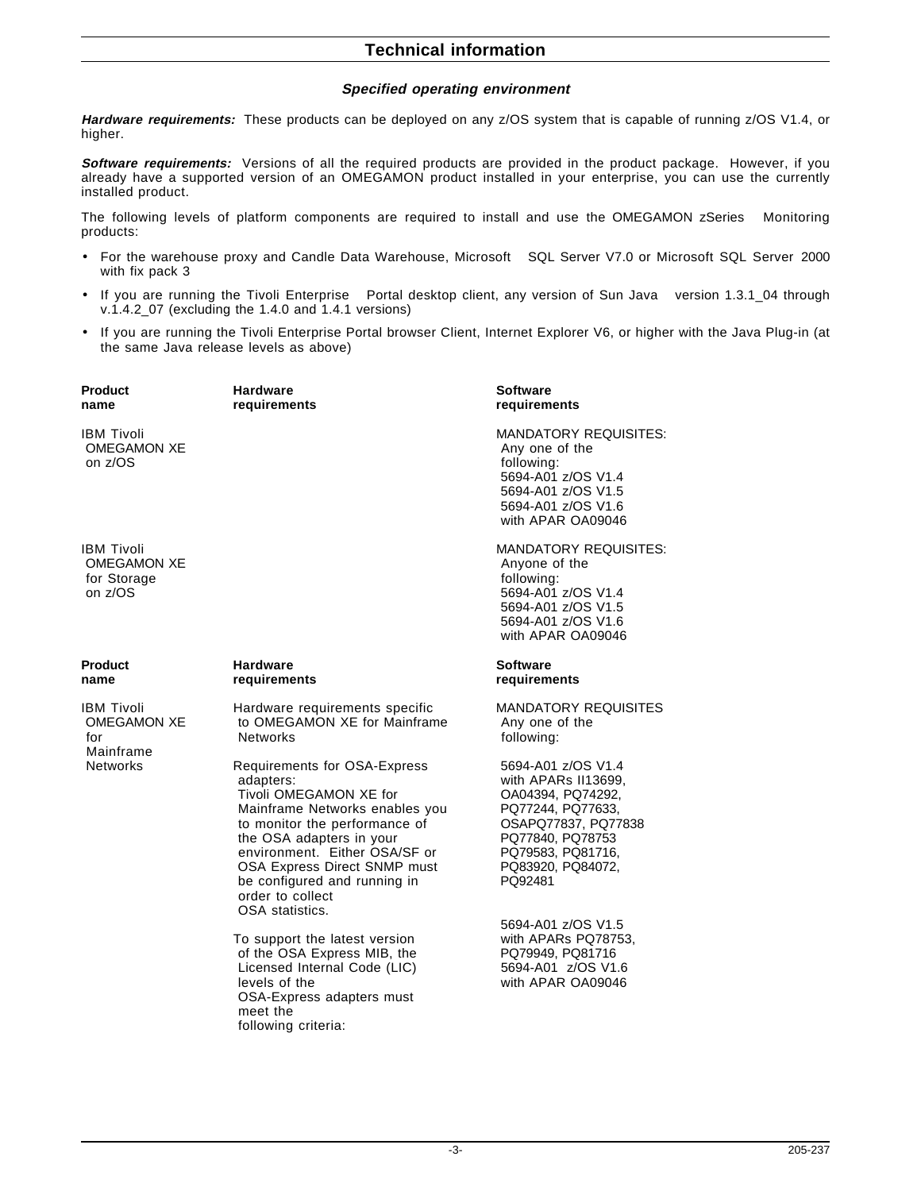#### **Specified operating environment**

**Hardware requirements:** These products can be deployed on any z/OS system that is capable of running z/OS V1.4, or higher.

**Software requirements:** Versions of all the required products are provided in the product package. However, if you already have a supported version of an OMEGAMON product installed in your enterprise, you can use the currently installed product.

The following levels of platform components are required to install and use the OMEGAMON zSeries<sup>®</sup> Monitoring products:

- For the warehouse proxy and Candle Data Warehouse, Microsoft™ SQL Server V7.0 or Microsoft SQL Server 2000 with fix pack 3
- If you are running the Tivoli Enterprise™ Portal desktop client, any version of Sun Java™ version 1.3.1\_04 through v.1.4.2  $07$  (excluding the 1.4.0 and 1.4.1 versions)
- If you are running the Tivoli Enterprise Portal browser Client, Internet Explorer V6, or higher with the Java Plug-in (at the same Java release levels as above)

| Product<br>name                                                   | <b>Hardware</b><br>requirements                                                                                                                                                                                                                                                                            | Software<br>requirements                                                                                                                                                            |
|-------------------------------------------------------------------|------------------------------------------------------------------------------------------------------------------------------------------------------------------------------------------------------------------------------------------------------------------------------------------------------------|-------------------------------------------------------------------------------------------------------------------------------------------------------------------------------------|
| IBM Tivoli<br><b>OMEGAMON XE</b><br>on z/OS                       |                                                                                                                                                                                                                                                                                                            | <b>MANDATORY REQUISITES:</b><br>Any one of the<br>following:<br>5694-A01 z/OS V1.4<br>5694-A01 z/OS V1.5<br>5694-A01 z/OS V1.6<br>with APAR OA09046                                 |
| <b>IBM Tivoli</b><br><b>OMEGAMON XE</b><br>for Storage<br>on z/OS |                                                                                                                                                                                                                                                                                                            | <b>MANDATORY REQUISITES:</b><br>Anyone of the<br>following:<br>5694-A01 z/OS V1.4<br>5694-A01 z/OS V1.5<br>5694-A01 z/OS V1.6<br>with APAR OA09046                                  |
| Product<br>name                                                   | <b>Hardware</b><br>requirements                                                                                                                                                                                                                                                                            | Software<br>requirements                                                                                                                                                            |
| <b>IBM Tivoli</b><br><b>OMEGAMON XE</b><br>for                    | Hardware requirements specific<br>to OMEGAMON XE for Mainframe<br><b>Networks</b>                                                                                                                                                                                                                          | <b>MANDATORY REQUISITES</b><br>Any one of the<br>following:                                                                                                                         |
| Mainframe<br><b>Networks</b>                                      | Requirements for OSA-Express<br>adapters:<br>Tivoli OMEGAMON XE for<br>Mainframe Networks enables you<br>to monitor the performance of<br>the OSA adapters in your<br>environment. Either OSA/SF or<br>OSA Express Direct SNMP must<br>be configured and running in<br>order to collect<br>OSA statistics. | 5694-A01 z/OS V1.4<br>with APARs II13699,<br>OA04394, PQ74292,<br>PQ77244, PQ77633,<br>OSAPQ77837, PQ77838<br>PQ77840, PQ78753<br>PQ79583, PQ81716,<br>PQ83920, PQ84072,<br>PQ92481 |
|                                                                   | To support the latest version<br>of the OSA Express MIB, the<br>Licensed Internal Code (LIC)<br>levels of the<br>OSA-Express adapters must<br>meet the                                                                                                                                                     | 5694-A01 z/OS V1.5<br>with APARs PQ78753.<br>PQ79949, PQ81716<br>5694-A01 z/OS V1.6<br>with APAR OA09046                                                                            |

following criteria: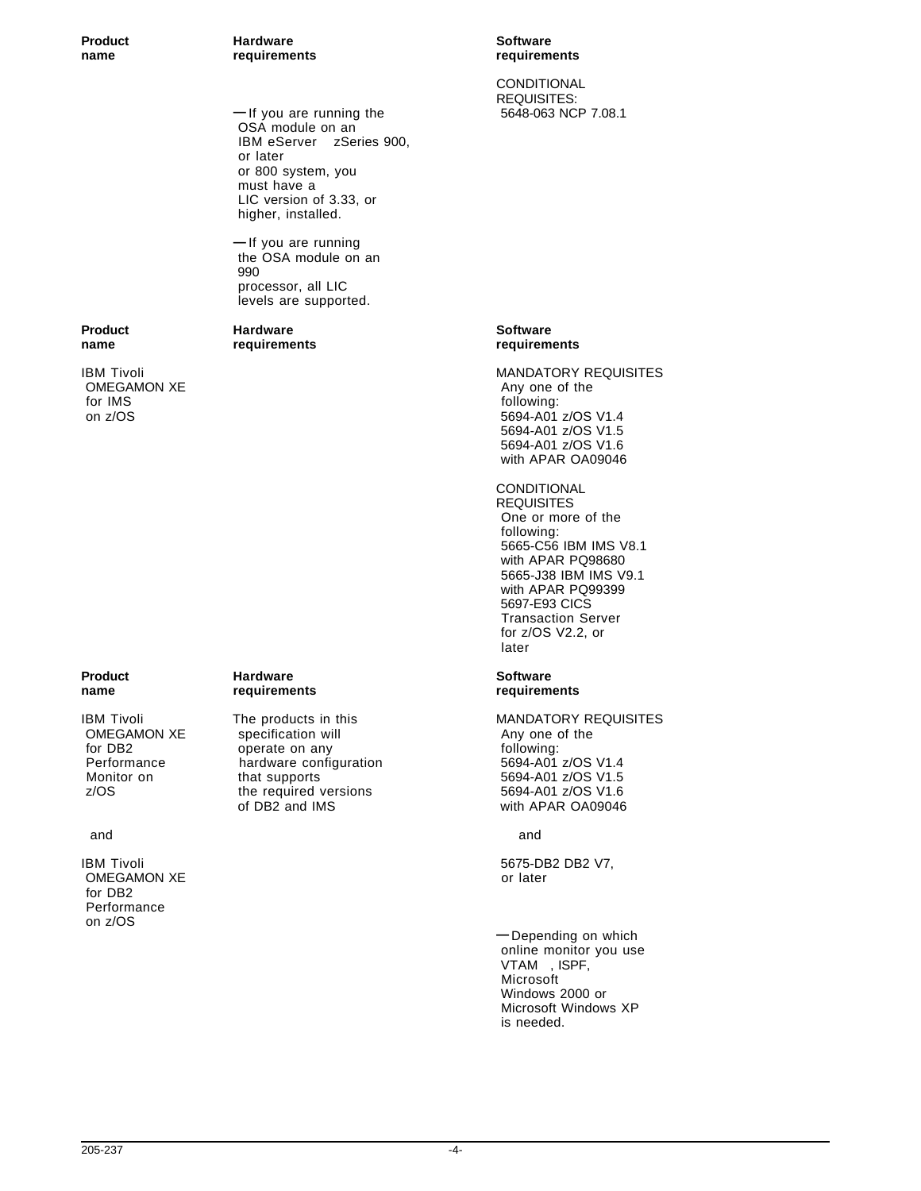**Product Hardware Software name requirements requirements**

> $-$  If you are running the OSA module on an IBM eServer<sup>®</sup> zSeries 900, or later or 800 system, you must have a LIC version of 3.33, or higher, installed.

**—** If you are running the OSA module on an 990 processor, all LIC levels are supported.

OMEGAMON XE Any one of the theory of the theory of the theory of the theory of the theory of the theory of the the theory of the theory of the theory of the theory of the theory of the theory of the theory of the theory of for IMS following:

OMEGAMON XE for DB2 Performance on z/OS

# **Product Hardware Hardware Software**

OMEGAMON XE specification will a specification will be the control of the Any one of the theorem of the the the<br>
following: for DB2 operate on any following:<br>
Performance hardware configuration 6694-A01 z/OS V1.4 hardware configuration Monitor on that supports that supports 5694-A01 z/OS V1.5<br>
z/OS the required versions 5694-A01 z/OS V1.6 the required versions<br>of DB2 and IMS

CONDITIONAL REQUISITES:<br>5648-063 NCP 7.08.1

#### **Product Hardware Hardware Software name requirements requirements**

IBM Tivoli MANDATORY REQUISITES on z/OS 694-A01 z/OS V1.4 5694-A01 z/OS V1.5 5694-A01 z/OS V1.6 with APAR OA09046

## CONDITIONAL

**REQUISITES**  One or more of the following: 5665-C56 IBM IMS V8.1 with APAR PQ98680 5665-J38 IBM IMS V9.1 with APAR PQ99399 5697-E93 CICS Transaction Server for z/OS V2.2, or later

# **name requirements requirements**

# IBM Tivoli The products in this MANDATORY REQUISITES<br>
OMEGAMON XE specification will Some of the Any one of the with APAR OA09046

and and

IBM Tivoli 5675-DB2 DB2 V7,

**—** Depending on which online monitor you use VTAM<sup>®</sup>, ISPF, Microsoft Windows 2000 or Microsoft Windows XP is needed.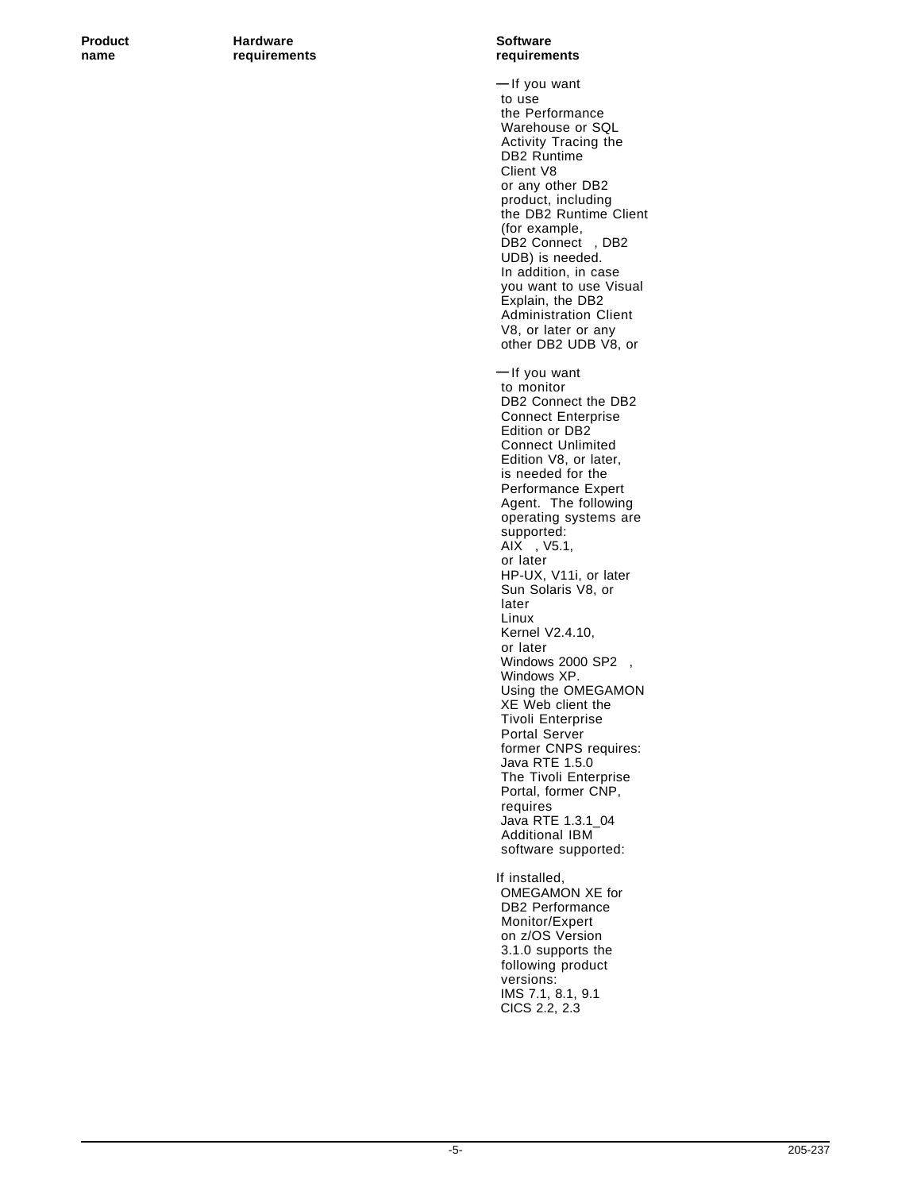**Product Hardware Hardware Software name requirements requirements**

**—** If you want to use the Performance Warehouse or SQL Activity Tracing the DB2 Runtime Client V8 or any other DB2 product, including the DB2 Runtime Client (for example, DB2 Connect<sup>®</sup>, DB2 UDB) is needed. In addition, in case you want to use Visual Explain, the DB2 Administration Client V8, or later or any other DB2 UDB V8, or **—** If you want to monitor DB2 Connect the DB2 Connect Enterprise Edition or DB2 Connect Unlimited Edition V8, or later, is needed for the Performance Expert Agent. The following operating systems are supported:  $AIX@$ ,  $V5.1$ , or later HP-UX, V11i, or later Sun Solaris V8, or later Linux Kernel V2.4.10, or later Windows 2000 SP2<sup>®</sup>, Windows XP. Using the OMEGAMON XE Web client the Tivoli Enterprise Portal Server former CNPS requires: Java RTE 1.5.0 The Tivoli Enterprise Portal, former CNP, requires Java RTE 1.3.1\_04 Additional IBM software supported: If installed, OMEGAMON XE for DB2 Performance Monitor/Expert on z/OS Version 3.1.0 supports the following product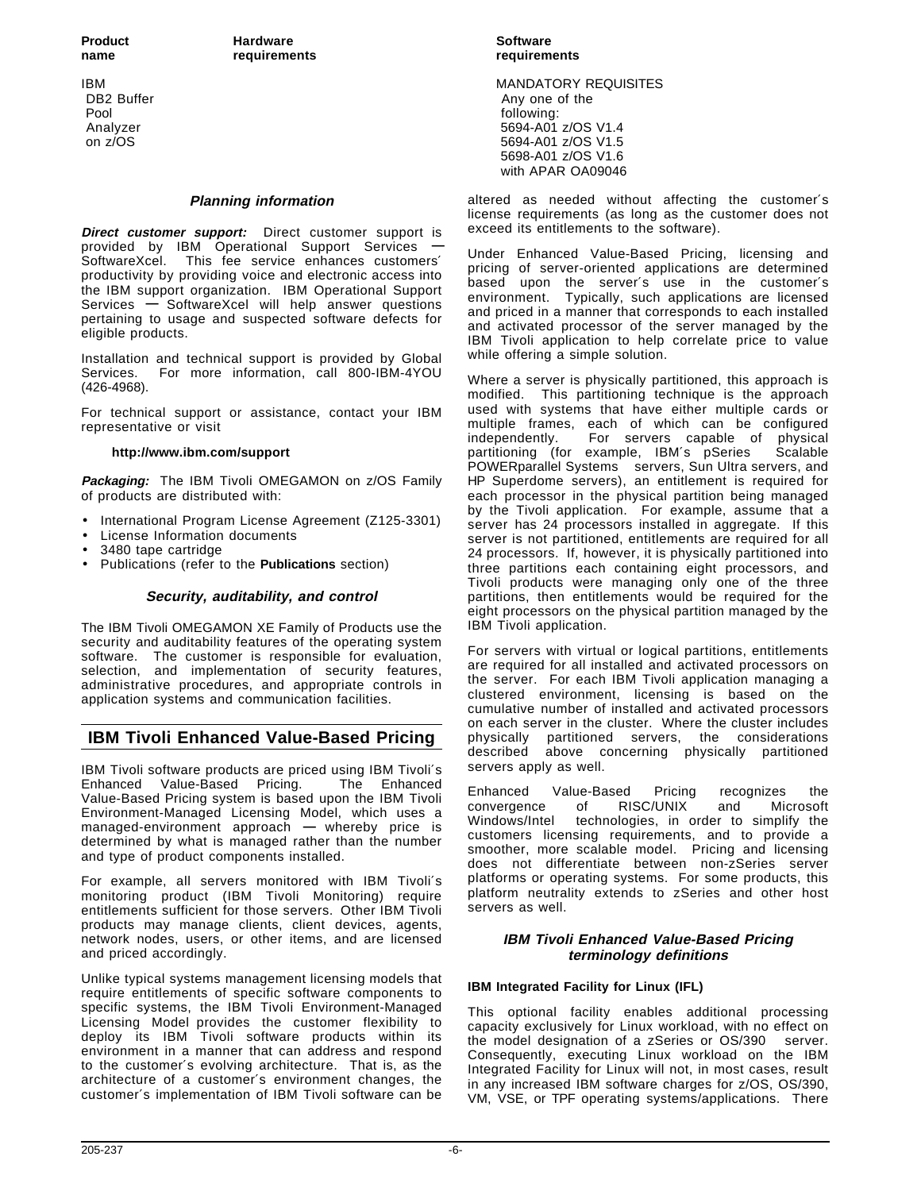Pool **Following:** The contract of the contract of the contract of the contract of the contract of the contract of the contract of the contract of the contract of the contract of the contract of the contract of the contract

#### **Planning information**

**Direct customer support:** Direct customer support is provided by IBM Operational Support Services **—** SoftwareXcel. This fee service enhances customers′ productivity by providing voice and electronic access into the IBM support organization. IBM Operational Support Services **—** SoftwareXcel will help answer questions pertaining to usage and suspected software defects for eligible products.

Installation and technical support is provided by Global Services. For more information, call 800-IBM-4YOU (426-4968).

For technical support or assistance, contact your IBM representative or visit

#### **http://www.ibm.com/support**

**Packaging:** The IBM Tivoli OMEGAMON on z/OS Family of products are distributed with:

- International Program License Agreement (Z125-3301)
- License Information documents
- 3480 tape cartridge
- Publications (refer to the **Publications** section)

#### **Security, auditability, and control**

The IBM Tivoli OMEGAMON XE Family of Products use the security and auditability features of the operating system software. The customer is responsible for evaluation, selection, and implementation of security features, administrative procedures, and appropriate controls in application systems and communication facilities.

## **IBM Tivoli Enhanced Value-Based Pricing**

IBM Tivoli software products are priced using IBM Tivoli′s Enhanced Value-Based Pricing. Value-Based Pricing system is based upon the IBM Tivoli Environment-Managed Licensing Model, which uses a managed-environment approach **—** whereby price is determined by what is managed rather than the number and type of product components installed.

For example, all servers monitored with IBM Tivoli′s monitoring product (IBM Tivoli Monitoring) require entitlements sufficient for those servers. Other IBM Tivoli products may manage clients, client devices, agents, network nodes, users, or other items, and are licensed and priced accordingly.

Unlike typical systems management licensing models that require entitlements of specific software components to specific systems, the IBM Tivoli Environment-Managed Licensing Model provides the customer flexibility to deploy its IBM Tivoli software products within its environment in a manner that can address and respond to the customer′s evolving architecture. That is, as the architecture of a customer′s environment changes, the customer′s implementation of IBM Tivoli software can be

IBM MANDATORY REQUISITES Any one of the Analyzer 5694-A01 z/OS V1.4 on z/OS 694-A01 z/OS V1.5 5698-A01 z/OS V1.6 with APAR OA09046

> altered as needed without affecting the customer′s license requirements (as long as the customer does not exceed its entitlements to the software).

> Under Enhanced Value-Based Pricing, licensing and pricing of server-oriented applications are determined based upon the server′s use in the customer′s environment. Typically, such applications are licensed and priced in a manner that corresponds to each installed and activated processor of the server managed by the IBM Tivoli application to help correlate price to value while offering a simple solution.

> Where a server is physically partitioned, this approach is modified. This partitioning technique is the approach used with systems that have either multiple cards or multiple frames, each of which can be configured independently. For servers capable of physical partitioning (for example, IBM's pSeries<sup>®</sup> Scalable POWERparallel Systems<sup>®</sup> servers, Sun Ultra servers, and HP Superdome servers), an entitlement is required for each processor in the physical partition being managed by the Tivoli application. For example, assume that a server has 24 processors installed in aggregate. If this server is not partitioned, entitlements are required for all 24 processors. If, however, it is physically partitioned into three partitions each containing eight processors, and Tivoli products were managing only one of the three partitions, then entitlements would be required for the eight processors on the physical partition managed by the IBM Tivoli application.

> For servers with virtual or logical partitions, entitlements are required for all installed and activated processors on the server. For each IBM Tivoli application managing a clustered environment, licensing is based on the cumulative number of installed and activated processors on each server in the cluster. Where the cluster includes physically partitioned servers, the considerations described above concerning physically partitioned servers apply as well.

> Enhanced Value-Based Pricing recognizes the convergence of RISC/UNIX and Microsoft Windows/Intel<sup>™</sup> technologies, in order to simplify the customers licensing requirements, and to provide a smoother, more scalable model. Pricing and licensing does not differentiate between non-zSeries server platforms or operating systems. For some products, this platform neutrality extends to zSeries and other host servers as well.

#### **IBM Tivoli Enhanced Value-Based Pricing terminology definitions**

#### **IBM Integrated Facility for Linux (IFL)**

This optional facility enables additional processing capacity exclusively for Linux workload, with no effect on the model designation of a zSeries or OS/390<sup>®</sup> server. Consequently, executing Linux workload on the IBM Integrated Facility for Linux will not, in most cases, result in any increased IBM software charges for z/OS, OS/390, VM, VSE, or TPF operating systems/applications. There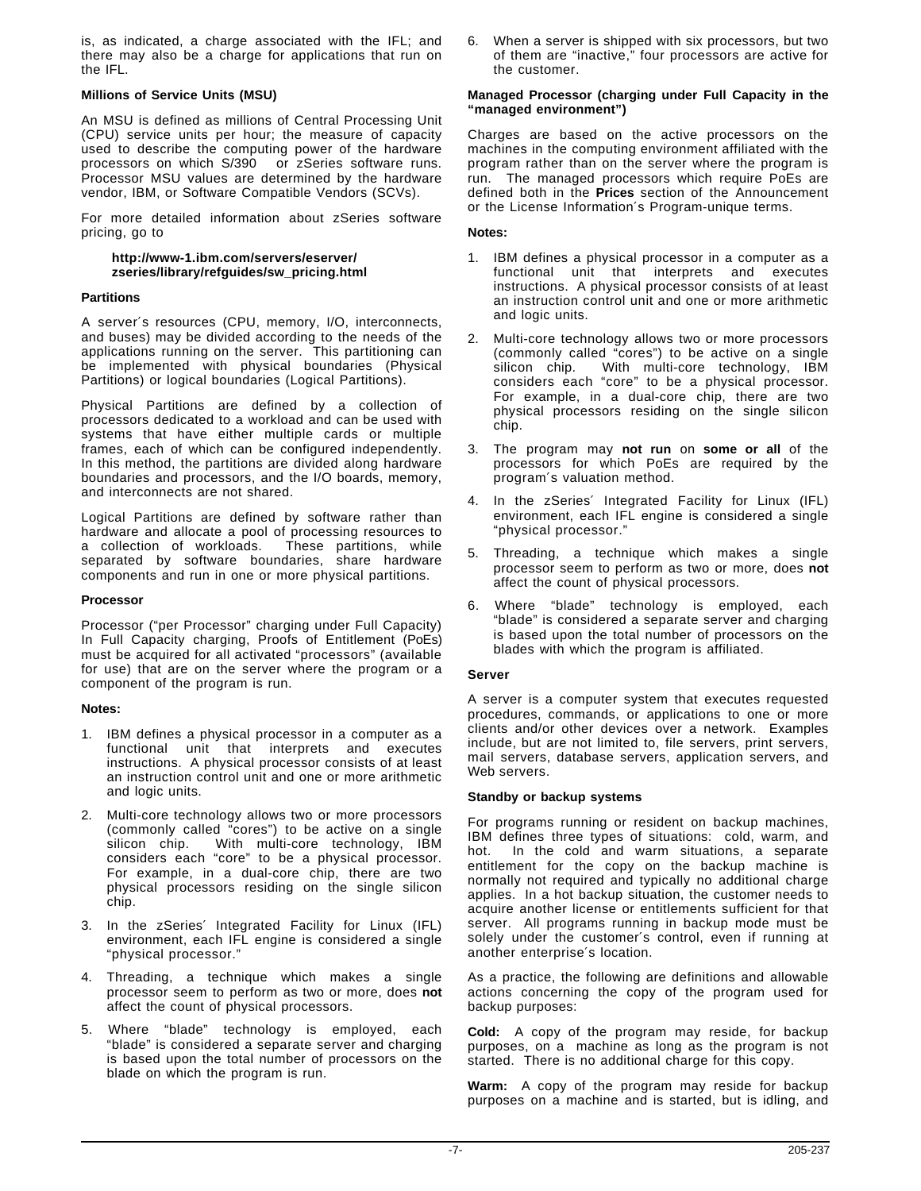is, as indicated, a charge associated with the IFL; and there may also be a charge for applications that run on the IFL.

#### **Millions of Service Units (MSU)**

An MSU is defined as millions of Central Processing Unit (CPU) service units per hour; the measure of capacity used to describe the computing power of the hardware processors on which S/390<sup>®</sup> or zSeries software runs. Processor MSU values are determined by the hardware vendor, IBM, or Software Compatible Vendors (SCVs).

For more detailed information about zSeries software pricing, go to

#### **http://www-1.ibm.com/servers/eserver/ zseries/library/refguides/sw\_pricing.html**

#### **Partitions**

A server′s resources (CPU, memory, I/O, interconnects, and buses) may be divided according to the needs of the applications running on the server. This partitioning can be implemented with physical boundaries (Physical Partitions) or logical boundaries (Logical Partitions).

Physical Partitions are defined by a collection of processors dedicated to a workload and can be used with systems that have either multiple cards or multiple frames, each of which can be configured independently. In this method, the partitions are divided along hardware boundaries and processors, and the I/O boards, memory, and interconnects are not shared.

Logical Partitions are defined by software rather than hardware and allocate a pool of processing resources to a collection of workloads. These partitions, while separated by software boundaries, share hardware components and run in one or more physical partitions.

#### **Processor**

Processor ("per Processor" charging under Full Capacity) In Full Capacity charging, Proofs of Entitlement (PoEs) must be acquired for all activated "processors" (available for use) that are on the server where the program or a component of the program is run.

#### **Notes:**

- 1. IBM defines a physical processor in a computer as a functional unit that interprets and executes instructions. A physical processor consists of at least an instruction control unit and one or more arithmetic and logic units.
- 2. Multi-core technology allows two or more processors (commonly called "cores") to be active on a single silicon chip. With multi-core technology, IBM considers each "core" to be a physical processor. For example, in a dual-core chip, there are two physical processors residing on the single silicon chip.
- 3. In the zSeries′ Integrated Facility for Linux (IFL) environment, each IFL engine is considered a single "physical processor."
- 4. Threading, a technique which makes a single processor seem to perform as two or more, does **not** affect the count of physical processors.
- Where "blade" technology is employed, each "blade" is considered a separate server and charging is based upon the total number of processors on the blade on which the program is run.

6. When a server is shipped with six processors, but two of them are "inactive," four processors are active for the customer.

#### **Managed Processor (charging under Full Capacity in the "managed environment")**

Charges are based on the active processors on the machines in the computing environment affiliated with the program rather than on the server where the program is run. The managed processors which require PoEs are defined both in the **Prices** section of the Announcement or the License Information′s Program-unique terms.

#### **Notes:**

- 1. IBM defines a physical processor in a computer as a functional unit that interprets and executes instructions. A physical processor consists of at least an instruction control unit and one or more arithmetic and logic units.
- 2. Multi-core technology allows two or more processors (commonly called "cores") to be active on a single silicon chip. With multi-core technology, IBM considers each "core" to be a physical processor. For example, in a dual-core chip, there are two physical processors residing on the single silicon chip.
- 3. The program may **not run** on **some or all** of the processors for which PoEs are required by the program′s valuation method.
- 4. In the zSeries′ Integrated Facility for Linux (IFL) environment, each IFL engine is considered a single "physical processor."
- 5. Threading, a technique which makes a single processor seem to perform as two or more, does **not** affect the count of physical processors.
- 6. Where "blade" technology is employed, each "blade" is considered a separate server and charging is based upon the total number of processors on the blades with which the program is affiliated.

#### **Server**

A server is a computer system that executes requested procedures, commands, or applications to one or more clients and/or other devices over a network. Examples include, but are not limited to, file servers, print servers, mail servers, database servers, application servers, and Web servers.

#### **Standby or backup systems**

For programs running or resident on backup machines, IBM defines three types of situations: cold, warm, and hot. In the cold and warm situations, a separate entitlement for the copy on the backup machine is normally not required and typically no additional charge applies. In a hot backup situation, the customer needs to acquire another license or entitlements sufficient for that server. All programs running in backup mode must be solely under the customer′s control, even if running at another enterprise′s location.

As a practice, the following are definitions and allowable actions concerning the copy of the program used for backup purposes:

**Cold:** A copy of the program may reside, for backup purposes, on a machine as long as the program is not started. There is no additional charge for this copy.

**Warm:** A copy of the program may reside for backup purposes on a machine and is started, but is idling, and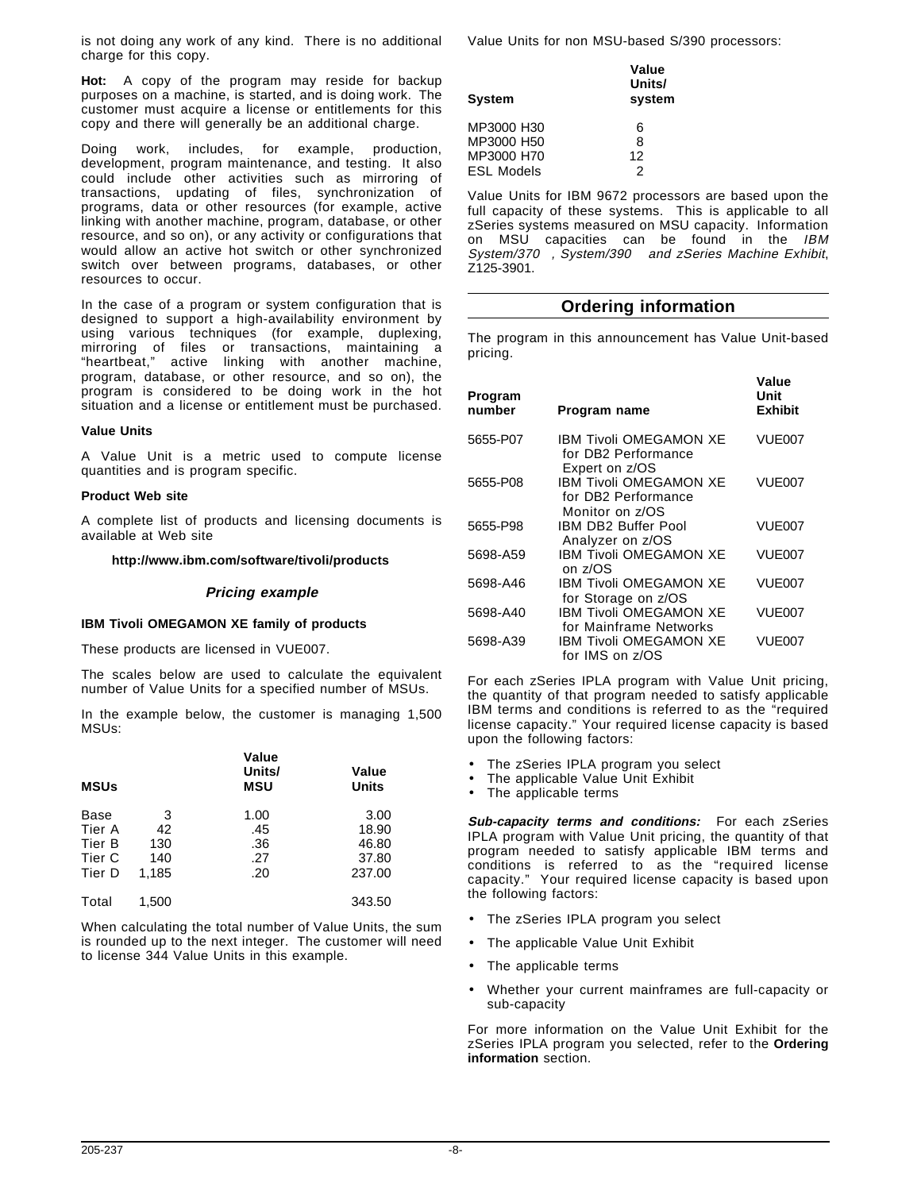is not doing any work of any kind. There is no additional charge for this copy.

**Hot:** A copy of the program may reside for backup purposes on a machine, is started, and is doing work. The customer must acquire a license or entitlements for this copy and there will generally be an additional charge.

Doing work, includes, for example, production, development, program maintenance, and testing. It also could include other activities such as mirroring of transactions, updating of files, synchronization of programs, data or other resources (for example, active linking with another machine, program, database, or other resource, and so on), or any activity or configurations that would allow an active hot switch or other synchronized switch over between programs, databases, or other resources to occur.

In the case of a program or system configuration that is designed to support a high-availability environment by using various techniques (for example, duplexing, mirroring of files or transactions, maintaining a "heartbeat," active linking with another machine, program, database, or other resource, and so on), the program is considered to be doing work in the hot situation and a license or entitlement must be purchased.

#### **Value Units**

A Value Unit is a metric used to compute license quantities and is program specific.

#### **Product Web site**

A complete list of products and licensing documents is available at Web site

#### **http://www.ibm.com/software/tivoli/products**

#### **Pricing example**

#### **IBM Tivoli OMEGAMON XE family of products**

These products are licensed in VUE007.

The scales below are used to calculate the equivalent number of Value Units for a specified number of MSUs.

In the example below, the customer is managing 1,500 MSUs:

| <b>MSUs</b> |       | Value<br>Units/<br><b>MSU</b> | Value<br><b>Units</b> |
|-------------|-------|-------------------------------|-----------------------|
| Base        | 3     | 1.00                          | 3.00                  |
| Tier A      | 42    | .45                           | 18.90                 |
| Tier B      | 130   | .36                           | 46.80                 |
| Tier C      | 140   | .27                           | 37.80                 |
| Tier D      | 1.185 | .20                           | 237.00                |
| Total       | 1.500 |                               | 343.50                |

When calculating the total number of Value Units, the sum is rounded up to the next integer. The customer will need to license 344 Value Units in this example.

Value Units for non MSU-based S/390 processors:

| <b>System</b>     | Value<br>Units/<br>system |
|-------------------|---------------------------|
| MP3000 H30        | 6                         |
| MP3000 H50        | 8                         |
| MP3000 H70        | 12                        |
| <b>ESL Models</b> | 2                         |

Value Units for IBM 9672 processors are based upon the full capacity of these systems. This is applicable to all zSeries systems measured on MSU capacity. Information on MSU capacities can be found in the IBM System/370<sup>™</sup>, System/390® and zSeries Machine Exhibit, Z125-3901.

## **Ordering information**

The program in this announcement has Value Unit-based pricing.

| Program name                                                            | Value<br>Unit<br><b>Exhibit</b>       |
|-------------------------------------------------------------------------|---------------------------------------|
| IBM Tivoli OMEGAMON XE<br>for DB2 Performance                           | VUE007                                |
| <b>IBM Tivoli OMEGAMON XE</b><br>for DB2 Performance<br>Monitor on z/OS | VUE007                                |
| IBM DB2 Buffer Pool<br>Analyzer on z/OS                                 | VUE007                                |
| <b>IBM Tivoli OMEGAMON XE</b><br>on z/OS                                | VUE007                                |
| <b>IBM Tivoli OMEGAMON XE</b>                                           | VUE007                                |
| <b>IBM Tivoli OMEGAMON XE</b><br>for Mainframe Networks                 | VUE007                                |
| IBM Tivoli OMEGAMON XE<br>for IMS on z/OS                               | VUE007                                |
|                                                                         | Expert on z/OS<br>for Storage on z/OS |

For each zSeries IPLA program with Value Unit pricing, the quantity of that program needed to satisfy applicable IBM terms and conditions is referred to as the "required license capacity." Your required license capacity is based upon the following factors:

- The zSeries IPLA program you select
- The applicable Value Unit Exhibit
- The applicable terms

**Sub-capacity terms and conditions:** For each zSeries IPLA program with Value Unit pricing, the quantity of that program needed to satisfy applicable IBM terms and conditions is referred to as the "required license capacity." Your required license capacity is based upon the following factors:

- The zSeries IPLA program you select
- The applicable Value Unit Exhibit
- The applicable terms
- Whether your current mainframes are full-capacity or sub-capacity

For more information on the Value Unit Exhibit for the zSeries IPLA program you selected, refer to the **Ordering information** section.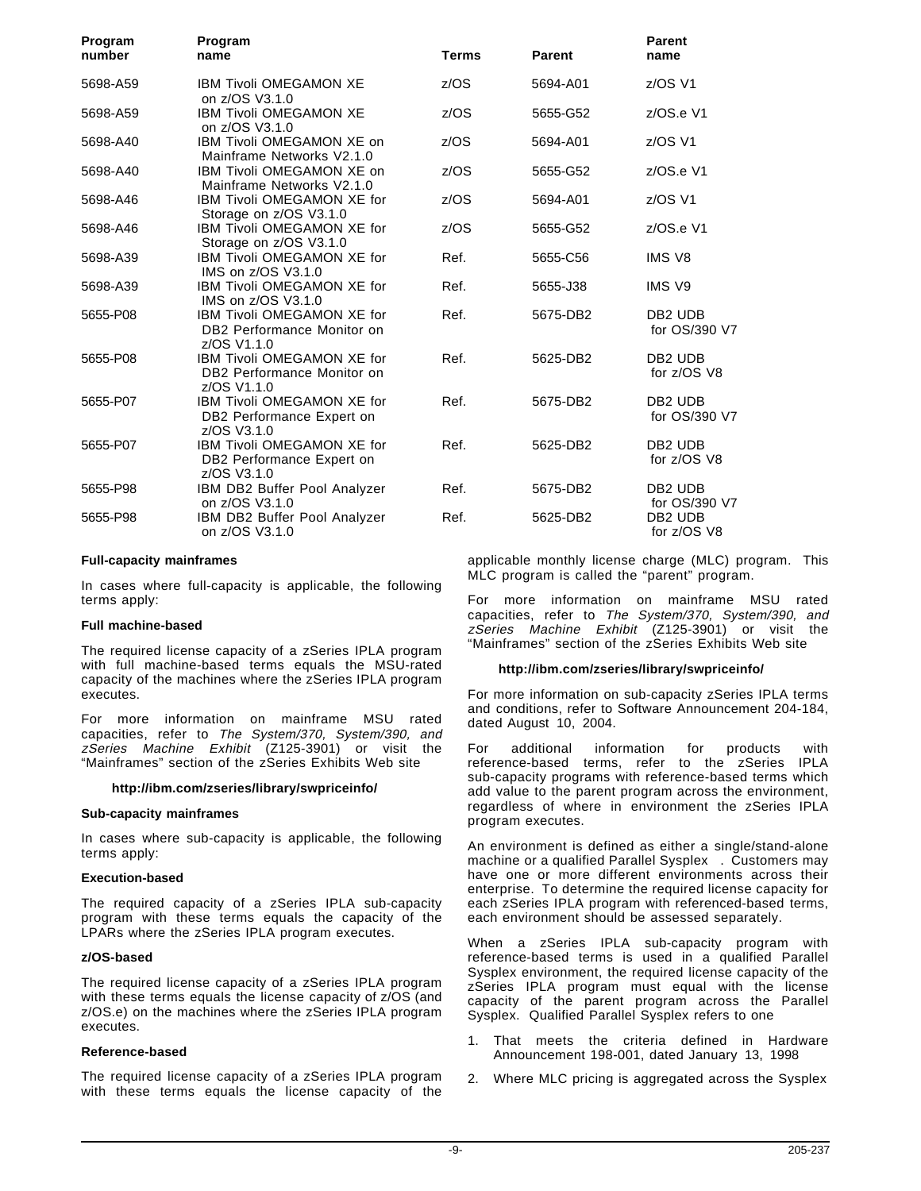| Program<br>number | Program<br>name                                                                | <b>Terms</b> | <b>Parent</b> | <b>Parent</b><br>name                |
|-------------------|--------------------------------------------------------------------------------|--------------|---------------|--------------------------------------|
| 5698-A59          | <b>IBM Tivoli OMEGAMON XE</b><br>on z/OS V3.1.0                                | z/OS         | 5694-A01      | z/OS V1                              |
| 5698-A59          | <b>IBM Tivoli OMEGAMON XE</b><br>on z/OS V3.1.0                                | z/OS         | 5655-G52      | $Z/OS.e$ V1                          |
| 5698-A40          | IBM Tivoli OMEGAMON XE on<br>Mainframe Networks V2.1.0                         | z/OS         | 5694-A01      | z/OS V1                              |
| 5698-A40          | IBM Tivoli OMEGAMON XE on<br>Mainframe Networks V2.1.0                         | z/OS         | 5655-G52      | $Z/OS.e$ V1                          |
| 5698-A46          | <b>IBM Tivoli OMEGAMON XE for</b><br>Storage on z/OS V3.1.0                    | z/OS         | 5694-A01      | $z/OS$ V1                            |
| 5698-A46          | IBM Tivoli OMEGAMON XE for<br>Storage on z/OS V3.1.0                           | z/OS         | 5655-G52      | z/OS.e V1                            |
| 5698-A39          | <b>IBM Tivoli OMEGAMON XE for</b><br>IMS on z/OS V3.1.0                        | Ref.         | 5655-C56      | <b>IMS V8</b>                        |
| 5698-A39          | <b>IBM Tivoli OMEGAMON XE for</b><br>IMS on z/OS V3.1.0                        | Ref.         | 5655-J38      | IMS V9                               |
| 5655-P08          | <b>IBM Tivoli OMEGAMON XE for</b><br>DB2 Performance Monitor on<br>z/OS V1.1.0 | Ref.         | 5675-DB2      | DB <sub>2</sub> UDB<br>for OS/390 V7 |
| 5655-P08          | <b>IBM Tivoli OMEGAMON XE for</b><br>DB2 Performance Monitor on<br>z/OS V1.1.0 | Ref.         | 5625-DB2      | DB <sub>2</sub> UDB<br>for z/OS V8   |
| 5655-P07          | IBM Tivoli OMEGAMON XE for<br>DB2 Performance Expert on<br>z/OS V3.1.0         | Ref.         | 5675-DB2      | DB <sub>2</sub> UDB<br>for OS/390 V7 |
| 5655-P07          | IBM Tivoli OMEGAMON XE for<br>DB2 Performance Expert on<br>z/OS V3.1.0         | Ref.         | 5625-DB2      | DB <sub>2</sub> UDB<br>for z/OS V8   |
| 5655-P98          | IBM DB2 Buffer Pool Analyzer<br>on z/OS V3.1.0                                 | Ref.         | 5675-DB2      | DB <sub>2</sub> UDB<br>for OS/390 V7 |
| 5655-P98          | IBM DB2 Buffer Pool Analyzer<br>on z/OS V3.1.0                                 | Ref.         | 5625-DB2      | DB <sub>2</sub> UDB<br>for z/OS V8   |

#### **Full-capacity mainframes**

In cases where full-capacity is applicable, the following terms apply:

#### **Full machine-based**

The required license capacity of a zSeries IPLA program with full machine-based terms equals the MSU-rated capacity of the machines where the zSeries IPLA program executes.

For more information on mainframe MSU rated capacities, refer to The System/370, System/390, and zSeries Machine Exhibit (Z125-3901) or visit the "Mainframes" section of the zSeries Exhibits Web site

#### **http://ibm.com/zseries/library/swpriceinfo/**

#### **Sub-capacity mainframes**

In cases where sub-capacity is applicable, the following terms apply:

#### **Execution-based**

The required capacity of a zSeries IPLA sub-capacity program with these terms equals the capacity of the LPARs where the zSeries IPLA program executes.

#### **z/OS-based**

The required license capacity of a zSeries IPLA program with these terms equals the license capacity of z/OS (and z/OS.e) on the machines where the zSeries IPLA program executes.

#### **Reference-based**

The required license capacity of a zSeries IPLA program with these terms equals the license capacity of the

applicable monthly license charge (MLC) program. This MLC program is called the "parent" program.

For more information on mainframe MSU rated capacities, refer to The System/370, System/390, and zSeries Machine Exhibit (Z125-3901) or visit the "Mainframes" section of the zSeries Exhibits Web site

#### **http://ibm.com/zseries/library/swpriceinfo/**

For more information on sub-capacity zSeries IPLA terms and conditions, refer to Software Announcement 204-184, dated August 10, 2004.

For additional information for products with reference-based terms, refer to the zSeries IPLA sub-capacity programs with reference-based terms which add value to the parent program across the environment, regardless of where in environment the zSeries IPLA program executes.

An environment is defined as either a single/stand-alone machine or a qualified Parallel Sysplex®. Customers may have one or more different environments across their enterprise. To determine the required license capacity for each zSeries IPLA program with referenced-based terms, each environment should be assessed separately.

When a zSeries IPLA sub-capacity program with reference-based terms is used in a qualified Parallel Sysplex environment, the required license capacity of the zSeries IPLA program must equal with the license capacity of the parent program across the Parallel Sysplex. Qualified Parallel Sysplex refers to one

- 1. That meets the criteria defined in Hardware Announcement 198-001, dated January 13, 1998
- 2. Where MLC pricing is aggregated across the Sysplex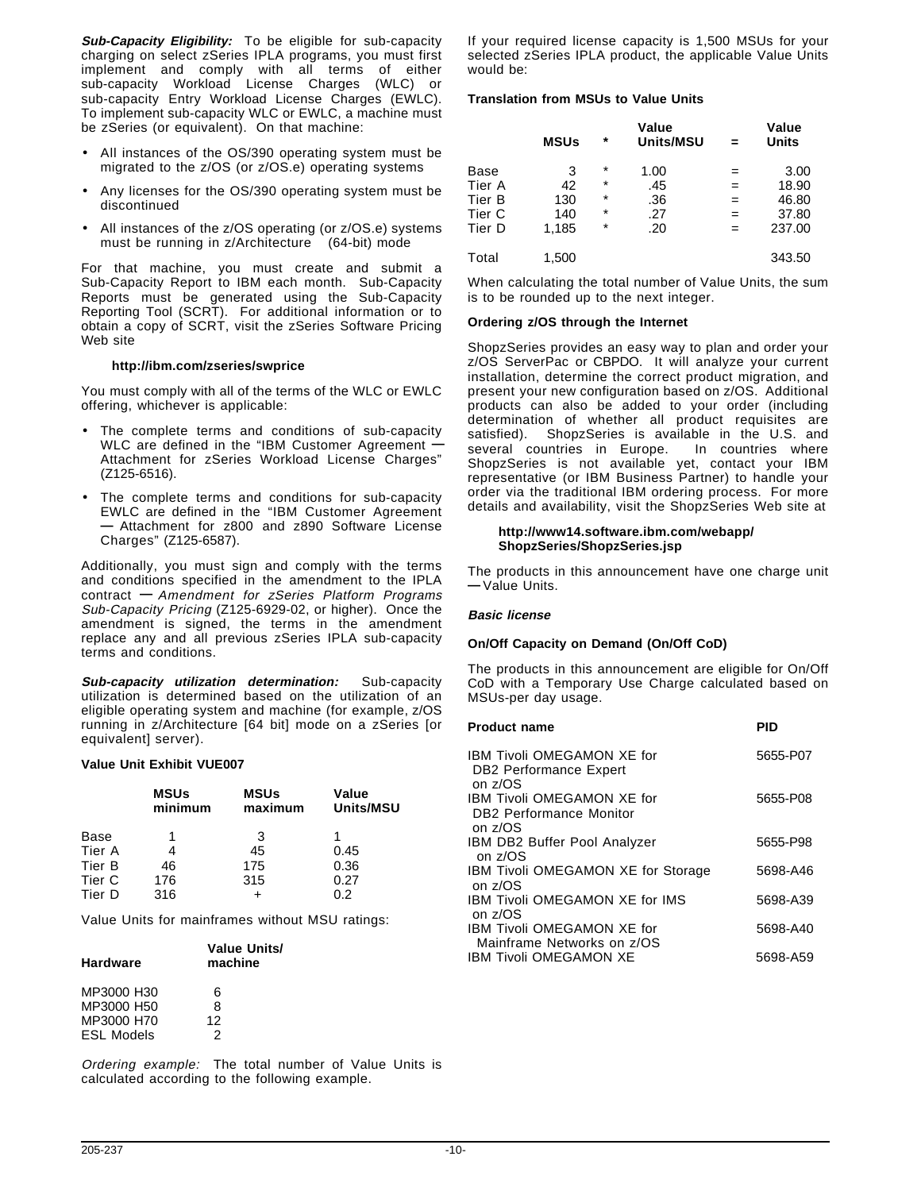**Sub-Capacity Eligibility:** To be eligible for sub-capacity charging on select zSeries IPLA programs, you must first implement and comply with all terms of either sub-capacity Workload License Charges (WLC) or sub-capacity Entry Workload License Charges (EWLC). To implement sub-capacity WLC or EWLC, a machine must be zSeries (or equivalent). On that machine:

- All instances of the OS/390 operating system must be migrated to the z/OS (or z/OS.e) operating systems
- Any licenses for the OS/390 operating system must be discontinued
- All instances of the z/OS operating (or z/OS.e) systems must be running in z/Architecture<sup>TM</sup> (64-bit) mode

For that machine, you must create and submit a Sub-Capacity Report to IBM each month. Sub-Capacity Reports must be generated using the Sub-Capacity Reporting Tool (SCRT). For additional information or to obtain a copy of SCRT, visit the zSeries Software Pricing Web site

#### **http://ibm.com/zseries/swprice**

You must comply with all of the terms of the WLC or EWLC offering, whichever is applicable:

- The complete terms and conditions of sub-capacity WLC are defined in the "IBM Customer Agreement **—** Attachment for zSeries Workload License Charges" (Z125-6516).
- The complete terms and conditions for sub-capacity EWLC are defined in the "IBM Customer Agreement **—** Attachment for z800 and z890 Software License Charges" (Z125-6587).

Additionally, you must sign and comply with the terms and conditions specified in the amendment to the IPLA contract **—** Amendment for zSeries Platform Programs Sub-Capacity Pricing (Z125-6929-02, or higher). Once the amendment is signed, the terms in the amendment replace any and all previous zSeries IPLA sub-capacity terms and conditions.

**Sub-capacity utilization determination:** Sub-capacity utilization is determined based on the utilization of an eligible operating system and machine (for example, z/OS running in z/Architecture [64 bit] mode on a zSeries [or equivalent] server).

#### **Value Unit Exhibit VUE007**

|        | <b>MSUs</b><br>minimum | <b>MSUs</b><br>maximum | Value<br>Units/MSU |
|--------|------------------------|------------------------|--------------------|
| Base   |                        | 3                      |                    |
| Tier A |                        | 45                     | 0.45               |
| Tier B | 46                     | 175                    | 0.36               |
| Tier C | 176                    | 315                    | 0.27               |
| Tier D | 316                    |                        | በ 2                |

Value Units for mainframes without MSU ratings:

| <b>Hardware</b>   | <b>Value Units/</b><br>machine |
|-------------------|--------------------------------|
| MP3000 H30        | 6                              |
| MP3000 H50        | 8                              |
| MP3000 H70        | 12                             |
| <b>ESL Models</b> | 2                              |

Ordering example: The total number of Value Units is calculated according to the following example.

If your required license capacity is 1,500 MSUs for your selected zSeries IPLA product, the applicable Value Units would be:

#### **Translation from MSUs to Value Units**

|        | <b>MSUs</b> | $\star$  | Value<br><b>Units/MSU</b> |     | Value<br><b>Units</b> |
|--------|-------------|----------|---------------------------|-----|-----------------------|
| Base   | 3           | $\star$  | 1.00                      | =   | 3.00                  |
| Tier A | 42          | $^\star$ | .45                       | $=$ | 18.90                 |
| Tier B | 130         | $\ast$   | .36                       | $=$ | 46.80                 |
| Tier C | 140         | $\ast$   | .27                       | $=$ | 37.80                 |
| Tier D | 1,185       | *        | .20                       | =   | 237.00                |
| Total  | 1,500       |          |                           |     | 343.50                |

When calculating the total number of Value Units, the sum is to be rounded up to the next integer.

#### **Ordering z/OS through the Internet**

ShopzSeries provides an easy way to plan and order your z/OS ServerPac or CBPDO. It will analyze your current installation, determine the correct product migration, and present your new configuration based on z/OS. Additional products can also be added to your order (including determination of whether all product requisites are satisfied). ShopzSeries is available in the U.S. and several countries in Europe. In countries where ShopzSeries is not available yet, contact your IBM representative (or IBM Business Partner) to handle your order via the traditional IBM ordering process. For more details and availability, visit the ShopzSeries Web site at

#### **http://www14.software.ibm.com/webapp/ ShopzSeries/ShopzSeries.jsp**

The products in this announcement have one charge unit **—** Value Units.

#### **Basic license**

#### **On/Off Capacity on Demand (On/Off CoD)**

The products in this announcement are eligible for On/Off CoD with a Temporary Use Charge calculated based on MSUs-per day usage.

| <b>Product name</b>                                                            | <b>PID</b> |
|--------------------------------------------------------------------------------|------------|
| <b>IBM Tivoli OMEGAMON XE for</b><br><b>DB2 Performance Expert</b><br>on z/OS  | 5655-P07   |
| <b>IBM Tivoli OMEGAMON XE for</b><br><b>DB2 Performance Monitor</b><br>on z/OS | 5655-P08   |
| <b>IBM DB2 Buffer Pool Analyzer</b><br>on z/OS                                 | 5655-P98   |
| IBM Tivoli OMEGAMON XE for Storage<br>on z/OS                                  | 5698-A46   |
| <b>IBM Tivoli OMEGAMON XE for IMS</b><br>on z/OS                               | 5698-A39   |
| IBM Tivoli OMEGAMON XE for<br>Mainframe Networks on z/OS                       | 5698-A40   |
| <b>IBM Tivoli OMEGAMON XE</b>                                                  | 5698-A59   |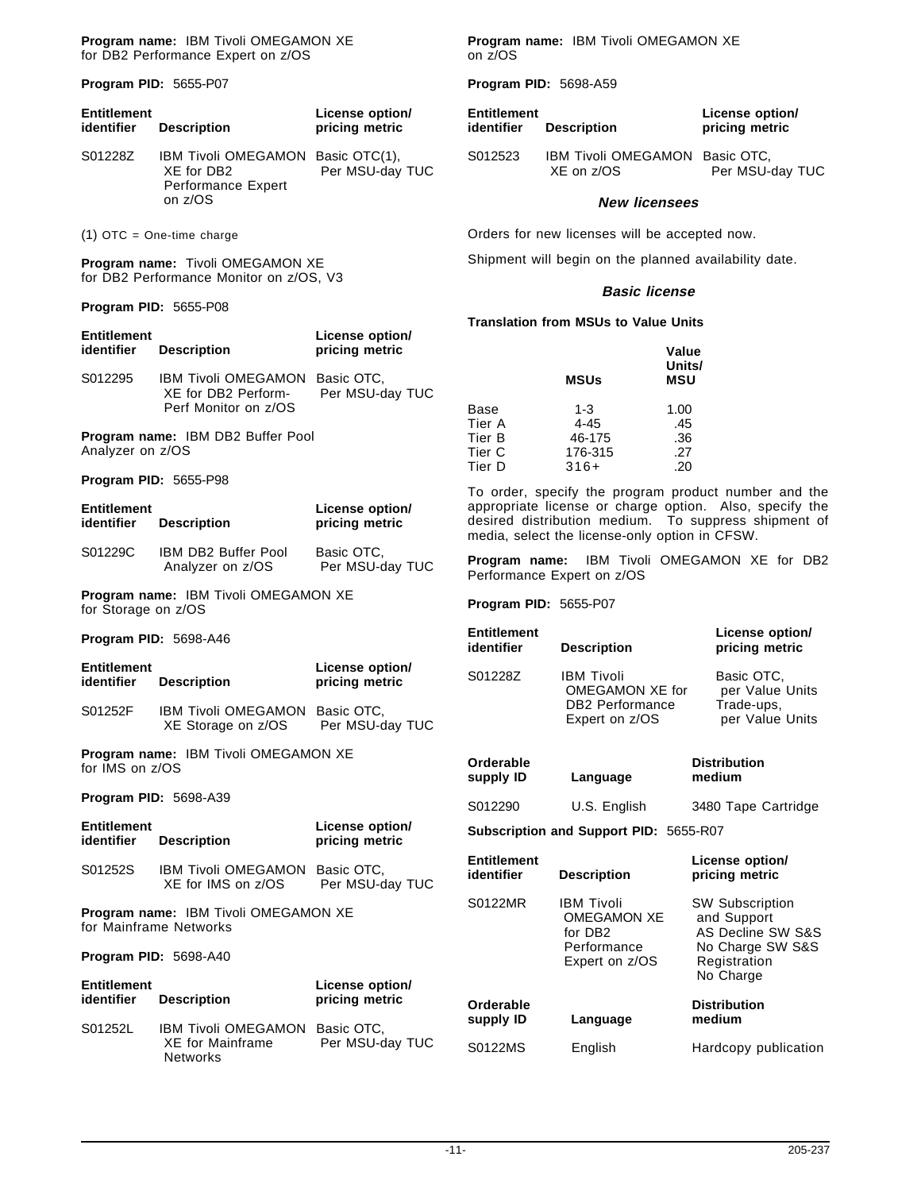**Program name:** IBM Tivoli OMEGAMON XE for DB2 Performance Expert on z/OS

**Program PID:** 5655-P07

| <b>Entitlement</b><br>identifier | <b>Description</b>                                                                      | License option/<br>pricing metric |
|----------------------------------|-----------------------------------------------------------------------------------------|-----------------------------------|
| S01228Z                          | IBM Tivoli OMEGAMON Basic OTC(1),<br>XE for DB2<br><b>Performance Expert</b><br>on z/OS | Per MSU-day TUC                   |

(1) OTC = One-time charge

**Program name:** Tivoli OMEGAMON XE for DB2 Performance Monitor on z/OS, V3

**Program PID:** 5655-P08

| Entitlement<br>identifier        | <b>Description</b>                                                            | License option/<br>pricing metric |
|----------------------------------|-------------------------------------------------------------------------------|-----------------------------------|
| S012295                          | IBM Tivoli OMEGAMON Basic OTC,<br>XE for DB2 Perform-<br>Perf Monitor on z/OS | Per MSU-day TUC                   |
| Analyzer on z/OS                 | Program name: IBM DB2 Buffer Pool                                             |                                   |
|                                  | Program PID: 5655-P98                                                         |                                   |
| <b>Entitlement</b><br>identifier | <b>Description</b>                                                            | License option/<br>pricing metric |
| S01229C                          | IBM DB2 Buffer Pool<br>Analyzer on z/OS                                       | Basic OTC,<br>Per MSU-day TUC     |
| for Storage on z/OS              | Program name: IBM Tivoli OMEGAMON XE                                          |                                   |
|                                  | Program PID: 5698-A46                                                         |                                   |
| Entitlement<br>identifier        | <b>Description</b>                                                            | License option/<br>pricing metric |
| S01252F                          | IBM Tivoli OMEGAMON Basic OTC,<br>XE Storage on z/OS                          | Per MSU-day TUC                   |
| for IMS on z/OS                  | Program name: IBM Tivoli OMEGAMON XE                                          |                                   |
|                                  | <b>Program PID: 5698-A39</b>                                                  |                                   |
| Entitlement<br>identifier        | <b>Description</b>                                                            | License option/<br>pricing metric |
| S01252S                          | IBM Tivoli OMEGAMON Basic OTC,<br>XE for IMS on z/OS                          | Per MSU-day TUC                   |
|                                  | Program name: IBM Tivoli OMEGAMON XE<br>for Mainframe Networks                |                                   |
|                                  | Program PID: 5698-A40                                                         |                                   |
| Entitlement<br>identifier        | <b>Description</b>                                                            | License option/<br>pricing metric |
| S01252L                          | IBM Tivoli OMEGAMON Basic OTC,<br><b>XE for Mainframe</b><br>Networks         | Per MSU-day TUC                   |

**Program name:** IBM Tivoli OMEGAMON XE on z/OS

**Program PID:** 5698-A59

| <b>Entitlement</b><br>identifier | <b>Description</b>                           | License option/<br>pricing metric |
|----------------------------------|----------------------------------------------|-----------------------------------|
| S012523                          | IBM Tivoli OMEGAMON Basic OTC,<br>XF on z/OS | Per MSU-day TUC                   |

#### **New licensees**

Orders for new licenses will be accepted now.

Shipment will begin on the planned availability date.

#### **Basic license**

**Translation from MSUs to Value Units**

|        | <b>MSUs</b> | Value<br>Units/<br><b>MSU</b> |
|--------|-------------|-------------------------------|
| Base   | $1 - 3$     | 1.00                          |
| Tier A | $4 - 45$    | .45                           |
| Tier B | 46-175      | .36                           |
| Tier C | 176-315     | .27                           |
| Tier D | $316+$      | .20                           |

To order, specify the program product number and the appropriate license or charge option. Also, specify the desired distribution medium. To suppress shipment of media, select the license-only option in CFSW.

**Program name:** IBM Tivoli OMEGAMON XE for DB2 Performance Expert on z/OS

**Program PID:** 5655-P07

| Entitlement<br>identifier | <b>Description</b>                                                               | License option/<br>pricing metric                              |
|---------------------------|----------------------------------------------------------------------------------|----------------------------------------------------------------|
| S01228Z                   | <b>IBM Tivoli</b><br>OMEGAMON XE for<br><b>DB2</b> Performance<br>Expert on z/OS | Basic OTC.<br>per Value Units<br>Trade-ups,<br>per Value Units |

| Orderable<br>supply ID<br>Language |              | <b>Distribution</b><br>medium |  |
|------------------------------------|--------------|-------------------------------|--|
| S012290                            | U.S. English | 3480 Tape Cartridge           |  |

**Subscription and Support PID:** 5655-R07

| <b>Entitlement</b><br>identifier | <b>Description</b>                                                                              | License option/<br>pricing metric                                                                           |
|----------------------------------|-------------------------------------------------------------------------------------------------|-------------------------------------------------------------------------------------------------------------|
| S0122MR                          | <b>IBM Tivoli</b><br><b>OMEGAMON XE</b><br>for DB <sub>2</sub><br>Performance<br>Expert on z/OS | <b>SW Subscription</b><br>and Support<br>AS Decline SW S&S<br>No Charge SW S&S<br>Registration<br>No Charge |
| Orderable<br>supply ID           | Language                                                                                        | <b>Distribution</b><br>medium                                                                               |
| S0122MS                          | English                                                                                         | Hardcopy publication                                                                                        |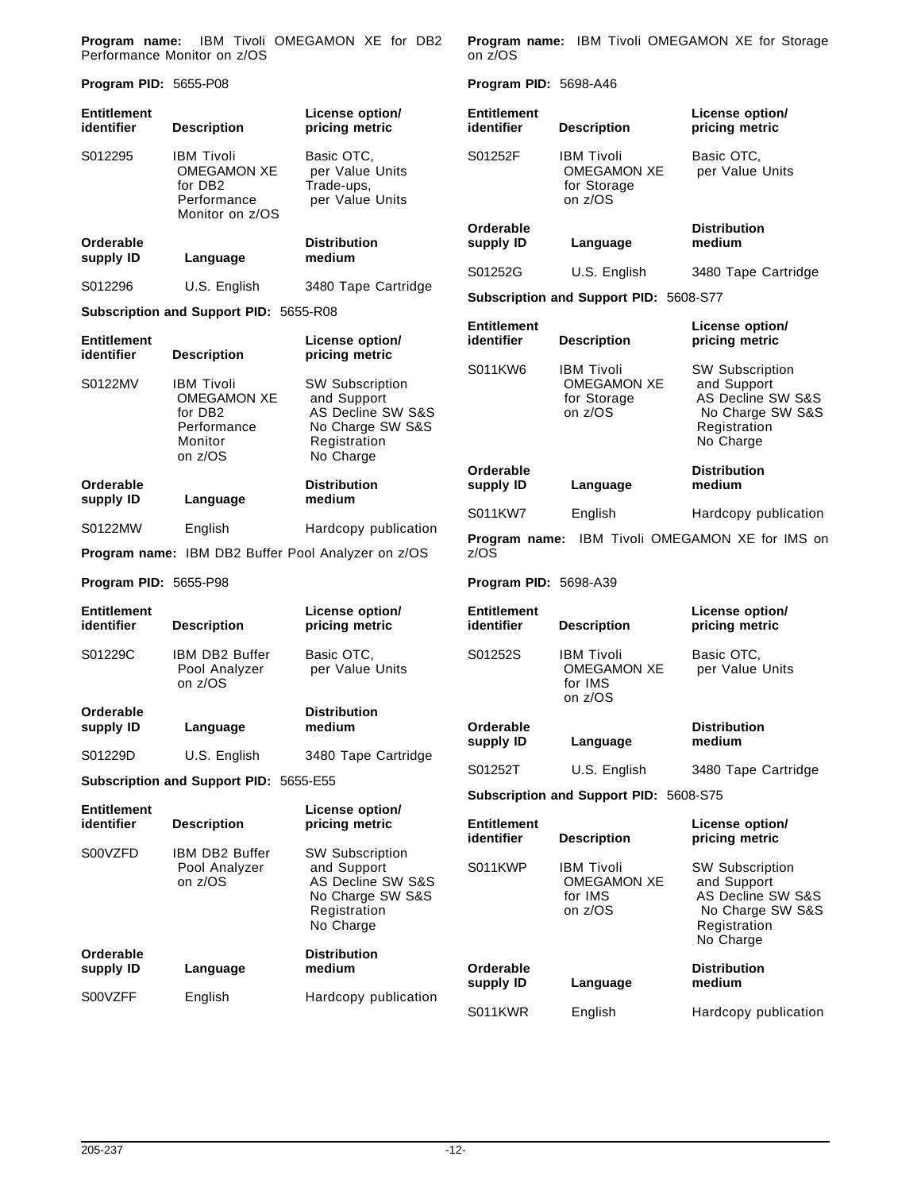**Program name:** IBM Tivoli OMEGAMON XE for DB2 Performance Monitor on z/OS

**Program PID:** 5655-P08

| <b>Entitlement</b><br>identifier | <b>Description</b>                                                                                  | License option/<br>pricing metric                                                                                      | Entitlement<br>identifier |
|----------------------------------|-----------------------------------------------------------------------------------------------------|------------------------------------------------------------------------------------------------------------------------|---------------------------|
| S012295                          | <b>IBM Tivoli</b><br><b>OMEGAMON XE</b><br>for DB <sub>2</sub><br>Performance<br>Monitor on z/OS    | Basic OTC,<br>per Value Units<br>Trade-ups,<br>per Value Units                                                         | S01252F                   |
| Orderable<br>supply ID           | Language                                                                                            | <b>Distribution</b><br>medium                                                                                          | Orderable<br>supply ID    |
| S012296                          | U.S. English                                                                                        | 3480 Tape Cartridge                                                                                                    | S01252G                   |
|                                  | Subscription and Support PID: 5655-R08                                                              |                                                                                                                        | Subscriptio               |
| <b>Entitlement</b><br>identifier | <b>Description</b>                                                                                  | License option/<br>pricing metric                                                                                      | Entitlement<br>identifier |
| S0122MV                          | <b>IBM Tivoli</b><br><b>OMEGAMON XE</b><br>for DB <sub>2</sub><br>Performance<br>Monitor<br>on z/OS | <b>SW Subscription</b><br>and Support<br><b>AS Decline SW S&amp;S</b><br>No Charge SW S&S<br>Registration<br>No Charge | S011KW6                   |
| Orderable<br>supply ID           | Language                                                                                            | <b>Distribution</b><br>medium                                                                                          | Orderable<br>supply ID    |
| S0122MW                          | English                                                                                             | Hardcopy publication                                                                                                   | S011KW7                   |
|                                  |                                                                                                     | Program name: IBM DB2 Buffer Pool Analyzer on z/OS                                                                     | Program n<br>z/OS         |
| Program PID: 5655-P98            |                                                                                                     |                                                                                                                        | Program Pl                |
| <b>Entitlement</b><br>identifier | <b>Description</b>                                                                                  | License option/<br>pricing metric                                                                                      | Entitlement<br>identifier |
| S01229C                          | IBM DB2 Buffer<br>Pool Analyzer<br>on z/OS                                                          | Basic OTC,<br>per Value Units                                                                                          | S01252S                   |
| Orderable<br>supply ID           | Language                                                                                            | <b>Distribution</b><br>medium                                                                                          | Orderable<br>supply ID    |
| S01229D                          | U.S. English                                                                                        | 3480 Tape Cartridge                                                                                                    | S01252T                   |
|                                  | Subscription and Support PID: 5655-E55                                                              |                                                                                                                        | Subscriptio               |
| <b>Entitlement</b><br>identifier | <b>Description</b>                                                                                  | License option/<br>pricing metric                                                                                      | Entitlement<br>identifier |
| S00VZFD                          | IBM DB2 Buffer<br>Pool Analyzer<br>on z/OS                                                          | <b>SW Subscription</b><br>and Support<br>AS Decline SW S&S<br>No Charge SW S&S<br>Registration<br>No Charge            | S011KWP                   |
| Orderable<br>supply ID           | Language                                                                                            | <b>Distribution</b><br>medium                                                                                          | Orderable<br>supply ID    |
| S00VZFF                          | English                                                                                             | Hardcopy publication                                                                                                   | S011KWR                   |

**Program name:** IBM Tivoli OMEGAMON XE for Storage on z/OS

**Program PID:** 5698-A46

| <b>Entitlement</b><br>identifier                        | <b>Description</b>                                                | License option/<br>pricing metric                                                                           |  |
|---------------------------------------------------------|-------------------------------------------------------------------|-------------------------------------------------------------------------------------------------------------|--|
| S01252F                                                 | <b>IBM Tivoli</b><br><b>OMEGAMON XE</b><br>for Storage<br>on z/OS | Basic OTC,<br>per Value Units                                                                               |  |
| Orderable<br>supply ID                                  | Language                                                          | Distribution<br>medium                                                                                      |  |
| S01252G                                                 | U.S. English                                                      | 3480 Tape Cartridge                                                                                         |  |
|                                                         | Subscription and Support PID: 5608-S77                            |                                                                                                             |  |
| <b>Entitlement</b><br>identifier                        | <b>Description</b>                                                | License option/<br>pricing metric                                                                           |  |
| S011KW6                                                 | <b>IBM Tivoli</b><br><b>OMEGAMON XE</b><br>for Storage<br>on z/OS | <b>SW Subscription</b><br>and Support<br>AS Decline SW S&S<br>No Charge SW S&S<br>Registration<br>No Charge |  |
| Orderable<br>supply ID                                  | Language                                                          | <b>Distribution</b><br>medium                                                                               |  |
| S011KW7                                                 | English                                                           | Hardcopy publication                                                                                        |  |
| Program name: IBM Tivoli OMEGAMON XE for IMS on<br>z/OS |                                                                   |                                                                                                             |  |
| Program PID: 5698-A39                                   |                                                                   |                                                                                                             |  |
| Entitlement<br>identifier                               | <b>Description</b>                                                | License option/<br>pricing metric                                                                           |  |
| S01252S                                                 | <b>IBM Tivoli</b><br><b>OMEGAMON XE</b><br>for IMS<br>on z/OS     | Basic OTC,<br>per Value Units                                                                               |  |
| Orderable<br>supply ID                                  | Language                                                          | <b>Distribution</b><br>medium                                                                               |  |
| S01252T                                                 | U.S. English                                                      | 3480 Tape Cartridge                                                                                         |  |
|                                                         | Subscription and Support PID: 5608-S75                            |                                                                                                             |  |
| <b>Entitlement</b><br>identifier                        | <b>Description</b>                                                | License option/<br>pricing metric                                                                           |  |
| S011KWP                                                 | <b>IBM Tivoli</b><br><b>OMEGAMON XE</b><br>for IMS<br>on z/OS     | <b>SW Subscription</b><br>and Support<br>AS Decline SW S&S<br>No Charge SW S&S<br>Registration<br>No Charge |  |
| Orderable<br>supply ID                                  | Language                                                          | <b>Distribution</b><br>medium                                                                               |  |

English Hardcopy publication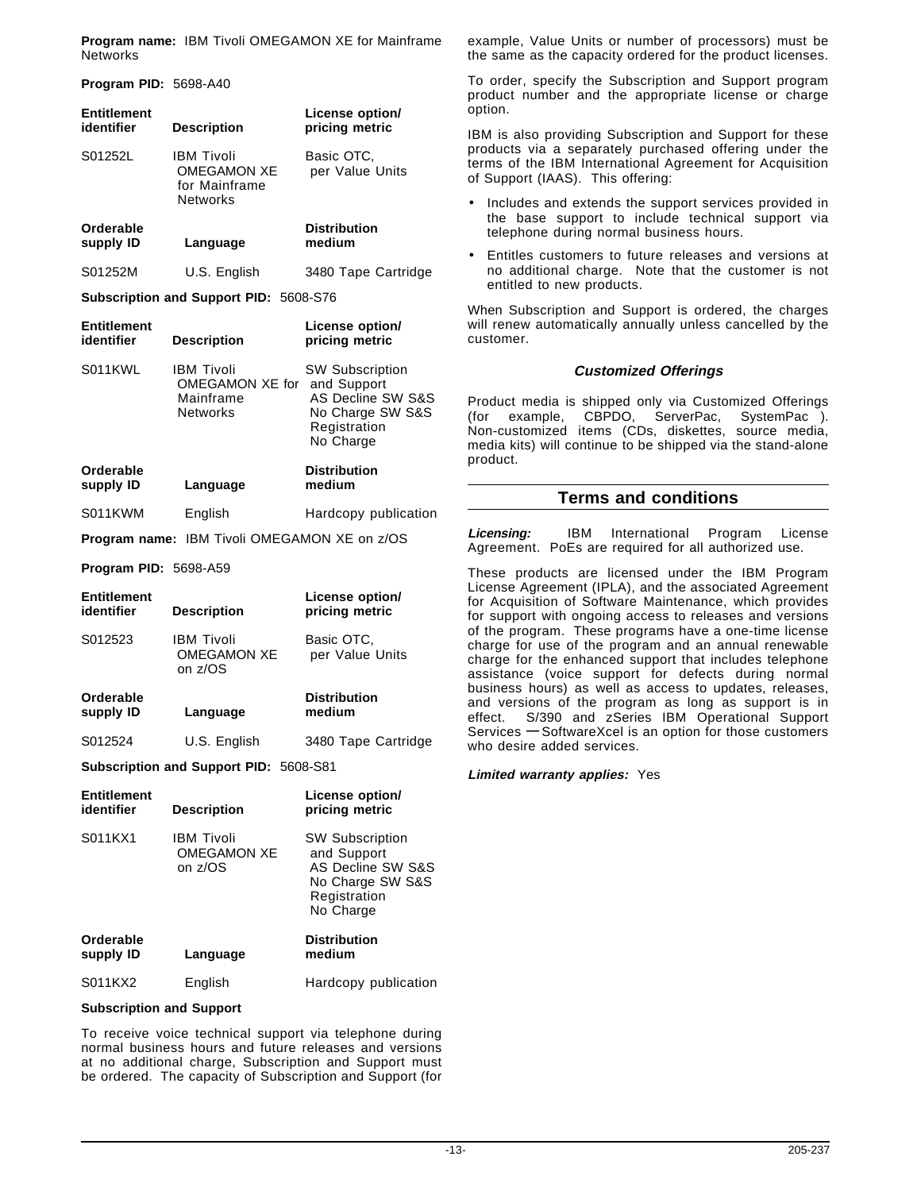**Program name:** IBM Tivoli OMEGAMON XE for Mainframe **Networks** 

**Program PID:** 5698-A40

| <b>Entitlement</b><br>identifier              | <b>Description</b>                                                   | License option/<br>pricing metric     |  |
|-----------------------------------------------|----------------------------------------------------------------------|---------------------------------------|--|
| S01252L                                       | <b>IBM Tivoli</b><br>OMEGAMON XE<br>for Mainframe<br><b>Networks</b> | Basic OTC.<br>per Value Units         |  |
| Orderable<br>supply ID                        | Language                                                             | <b>Distribution</b><br>medium         |  |
| S01252M                                       | U.S. English                                                         | 3480 Tape Cartridge                   |  |
| <b>Subscription and Support PID: 5608-S76</b> |                                                                      |                                       |  |
| <b>Entitlement</b><br>identifier              | <b>Description</b>                                                   | License option/<br>pricing metric     |  |
| S011KWL                                       | <b>IBM Tivoli</b><br>OMEGAMON XE for                                 | <b>SW Subscription</b><br>and Support |  |

Mainframe AS Decline SW S&S Networks No Charge SW S&S Registration No Charge **Orderable Distribution supply ID Language medium**

S011KWM English Hardcopy publication

**Program name:** IBM Tivoli OMEGAMON XE on z/OS

**Program PID:** 5698-A59

| <b>Entitlement</b><br>identifier | <b>Description</b>                          | License option/<br>pricing metric |
|----------------------------------|---------------------------------------------|-----------------------------------|
| S012523                          | IBM Tivoli<br><b>OMEGAMON XE</b><br>on z/OS | Basic OTC.<br>per Value Units     |
| Orderable<br>supply ID           | Language                                    | <b>Distribution</b><br>medium     |
| S012524                          | U.S. English                                | 3480 Tape Cartridge               |

**Subscription and Support PID:** 5608-S81

| <b>Entitlement</b><br>identifier | <b>Description</b>                                 | License option/<br>pricing metric                                                                           |
|----------------------------------|----------------------------------------------------|-------------------------------------------------------------------------------------------------------------|
| S011KX1                          | <b>IBM Tivoli</b><br><b>OMEGAMON XE</b><br>on z/OS | <b>SW Subscription</b><br>and Support<br>AS Decline SW S&S<br>No Charge SW S&S<br>Registration<br>No Charge |
| Orderable<br>supply ID           | Language                                           | <b>Distribution</b><br>medium                                                                               |
| S011KX2                          | English                                            | Hardcopy publication                                                                                        |

#### **Subscription and Support**

To receive voice technical support via telephone during normal business hours and future releases and versions at no additional charge, Subscription and Support must be ordered. The capacity of Subscription and Support (for

example, Value Units or number of processors) must be the same as the capacity ordered for the product licenses.

To order, specify the Subscription and Support program product number and the appropriate license or charge option.

IBM is also providing Subscription and Support for these products via a separately purchased offering under the terms of the IBM International Agreement for Acquisition of Support (IAAS). This offering:

- Includes and extends the support services provided in the base support to include technical support via telephone during normal business hours.
- Entitles customers to future releases and versions at no additional charge. Note that the customer is not entitled to new products.

When Subscription and Support is ordered, the charges will renew automatically annually unless cancelled by the customer.

#### **Customized Offerings**

Product media is shipped only via Customized Offerings (for example, CBPDO, ServerPac, SystemPac<sup>®</sup>). Non-customized items (CDs, diskettes, source media, media kits) will continue to be shipped via the stand-alone product.

## **Terms and conditions**

**Licensing:** IBM International Program License Agreement. PoEs are required for all authorized use.

These products are licensed under the IBM Program License Agreement (IPLA), and the associated Agreement for Acquisition of Software Maintenance, which provides for support with ongoing access to releases and versions of the program. These programs have a one-time license charge for use of the program and an annual renewable charge for the enhanced support that includes telephone assistance (voice support for defects during normal business hours) as well as access to updates, releases, and versions of the program as long as support is in effect. S/390 and zSeries IBM Operational Support Services **—** SoftwareXcel is an option for those customers who desire added services.

**Limited warranty applies:** Yes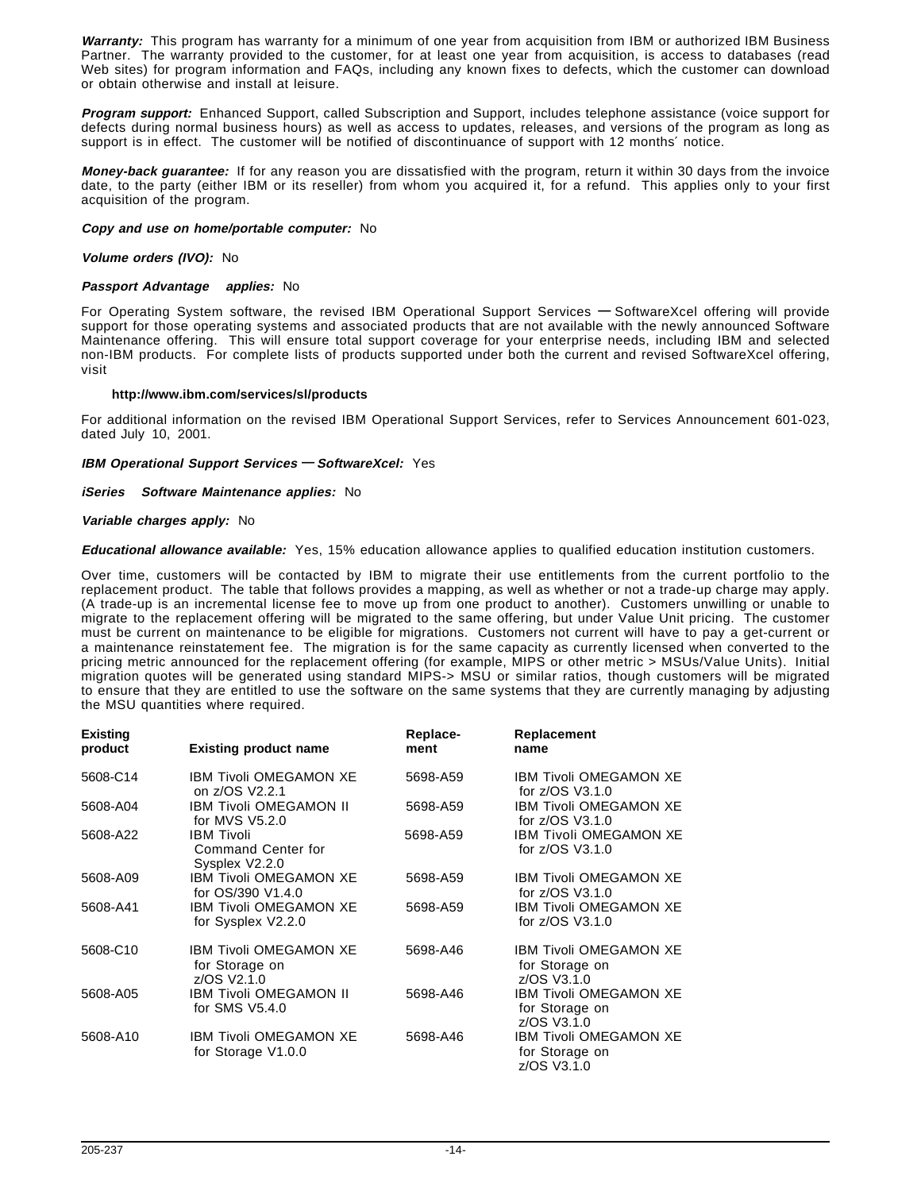**Warranty:** This program has warranty for a minimum of one year from acquisition from IBM or authorized IBM Business Partner. The warranty provided to the customer, for at least one year from acquisition, is access to databases (read Web sites) for program information and FAQs, including any known fixes to defects, which the customer can download or obtain otherwise and install at leisure.

**Program support:** Enhanced Support, called Subscription and Support, includes telephone assistance (voice support for defects during normal business hours) as well as access to updates, releases, and versions of the program as long as support is in effect. The customer will be notified of discontinuance of support with 12 months' notice.

**Money-back guarantee:** If for any reason you are dissatisfied with the program, return it within 30 days from the invoice date, to the party (either IBM or its reseller) from whom you acquired it, for a refund. This applies only to your first acquisition of the program.

#### **Copy and use on home/portable computer:** No

#### **Volume orders (IVO):** No

#### **Passport Advantage applies:** No

For Operating System software, the revised IBM Operational Support Services **—** SoftwareXcel offering will provide support for those operating systems and associated products that are not available with the newly announced Software Maintenance offering. This will ensure total support coverage for your enterprise needs, including IBM and selected non-IBM products. For complete lists of products supported under both the current and revised SoftwareXcel offering, visit

#### **http://www.ibm.com/services/sl/products**

For additional information on the revised IBM Operational Support Services, refer to Services Announcement 601-023, dated July 10, 2001.

#### **IBM Operational Support Services — SoftwareXcel:** Yes

#### **iSeries Software Maintenance applies:** No

#### **Variable charges apply:** No

**Educational allowance available:** Yes, 15% education allowance applies to qualified education institution customers.

Over time, customers will be contacted by IBM to migrate their use entitlements from the current portfolio to the replacement product. The table that follows provides a mapping, as well as whether or not a trade-up charge may apply. (A trade-up is an incremental license fee to move up from one product to another). Customers unwilling or unable to migrate to the replacement offering will be migrated to the same offering, but under Value Unit pricing. The customer must be current on maintenance to be eligible for migrations. Customers not current will have to pay a get-current or a maintenance reinstatement fee. The migration is for the same capacity as currently licensed when converted to the pricing metric announced for the replacement offering (for example, MIPS or other metric > MSUs/Value Units). Initial migration quotes will be generated using standard MIPS-> MSU or similar ratios, though customers will be migrated to ensure that they are entitled to use the software on the same systems that they are currently managing by adjusting the MSU quantities where required.

| <b>Existing</b><br>product | <b>Existing product name</b>                              | Replace-<br>ment | Replacement<br>name                                            |
|----------------------------|-----------------------------------------------------------|------------------|----------------------------------------------------------------|
| 5608-C14                   | <b>IBM Tivoli OMEGAMON XE</b><br>on z/OS V2.2.1           | 5698-A59         | <b>IBM Tivoli OMEGAMON XE</b><br>for z/OS V3.1.0               |
| 5608-A04                   | IBM Tivoli OMEGAMON II<br>for MVS V5.2.0                  | 5698-A59         | <b>IBM Tivoli OMEGAMON XE</b><br>for z/OS V3.1.0               |
| 5608-A22                   | <b>IBM Tivoli</b><br>Command Center for<br>Sysplex V2.2.0 | 5698-A59         | <b>IBM Tivoli OMEGAMON XE</b><br>for z/OS V3.1.0               |
| 5608-A09                   | IBM Tivoli OMEGAMON XE<br>for OS/390 V1.4.0               | 5698-A59         | <b>IBM Tivoli OMEGAMON XE</b><br>for z/OS V3.1.0               |
| 5608-A41                   | IBM Tivoli OMEGAMON XE<br>for Sysplex V2.2.0              | 5698-A59         | <b>IBM Tivoli OMEGAMON XE</b><br>for z/OS V3.1.0               |
| 5608-C10                   | IBM Tivoli OMEGAMON XE<br>for Storage on<br>z/OS V2.1.0   | 5698-A46         | <b>IBM Tivoli OMEGAMON XE</b><br>for Storage on<br>z/OS V3.1.0 |
| 5608-A05                   | <b>IBM Tivoli OMEGAMON II</b><br>for SMS V5.4.0           | 5698-A46         | <b>IBM Tivoli OMEGAMON XE</b><br>for Storage on<br>z/OS V3.1.0 |
| 5608-A10                   | <b>IBM Tivoli OMEGAMON XE</b><br>for Storage V1.0.0       | 5698-A46         | <b>IBM Tivoli OMEGAMON XE</b><br>for Storage on<br>z/OS V3.1.0 |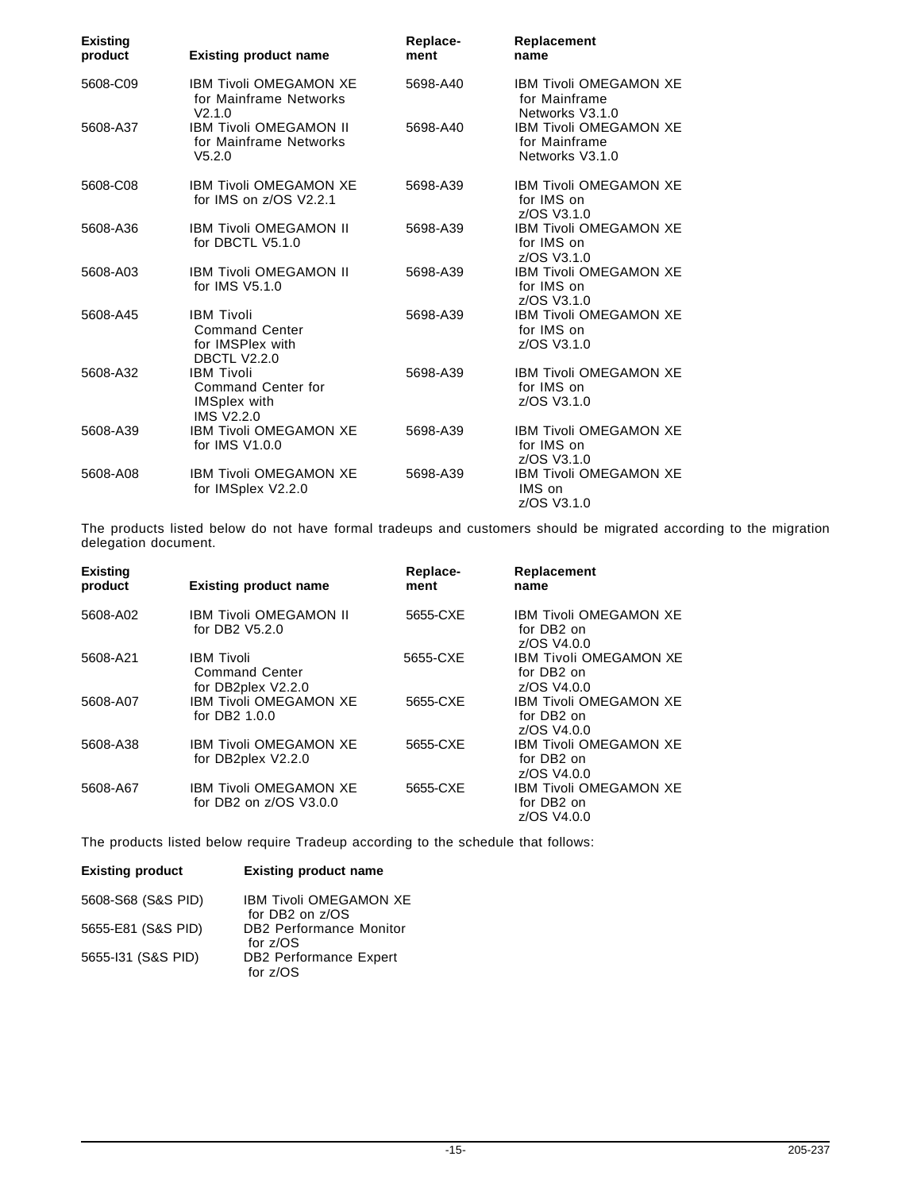| <b>Existing</b><br>product | <b>Existing product name</b>                                                               | Replace-<br>ment | Replacement<br>name                                               |
|----------------------------|--------------------------------------------------------------------------------------------|------------------|-------------------------------------------------------------------|
| 5608-C09                   | <b>IBM Tivoli OMEGAMON XE</b><br>for Mainframe Networks<br>V2.1.0                          | 5698-A40         | <b>IBM Tivoli OMEGAMON XE</b><br>for Mainframe<br>Networks V3.1.0 |
| 5608-A37                   | <b>IBM Tivoli OMEGAMON II</b><br>for Mainframe Networks<br>V5.2.0                          | 5698-A40         | <b>IBM Tivoli OMEGAMON XE</b><br>for Mainframe<br>Networks V3.1.0 |
| 5608-C08                   | <b>IBM Tivoli OMEGAMON XE</b><br>for IMS on z/OS V2.2.1                                    | 5698-A39         | <b>IBM Tivoli OMEGAMON XE</b><br>for IMS on<br>z/OS V3.1.0        |
| 5608-A36                   | <b>IBM Tivoli OMEGAMON II</b><br>for DBCTL V5.1.0                                          | 5698-A39         | <b>IBM Tivoli OMEGAMON XE</b><br>for IMS on<br>z/OS V3.1.0        |
| 5608-A03                   | <b>IBM Tivoli OMEGAMON II</b><br>for IMS V5.1.0                                            | 5698-A39         | <b>IBM Tivoli OMEGAMON XE</b><br>for IMS on<br>z/OS V3.1.0        |
| 5608-A45                   | <b>IBM Tivoli</b><br><b>Command Center</b><br>for IMSPlex with<br><b>DBCTL V2.2.0</b>      | 5698-A39         | <b>IBM Tivoli OMEGAMON XE</b><br>for IMS on<br>z/OS V3.1.0        |
| 5608-A32                   | <b>IBM Tivoli</b><br><b>Command Center for</b><br><b>IMSplex with</b><br><b>IMS V2.2.0</b> | 5698-A39         | <b>IBM Tivoli OMEGAMON XE</b><br>for IMS on<br>z/OS V3.1.0        |
| 5608-A39                   | <b>IBM Tivoli OMEGAMON XE</b><br>for IMS V1.0.0                                            | 5698-A39         | <b>IBM Tivoli OMEGAMON XE</b><br>for IMS on<br>z/OS V3.1.0        |
| 5608-A08                   | <b>IBM Tivoli OMEGAMON XE</b><br>for IMSplex V2.2.0                                        | 5698-A39         | <b>IBM Tivoli OMEGAMON XE</b><br>IMS on<br>z/OS V3.1.0            |

The products listed below do not have formal tradeups and customers should be migrated according to the migration delegation document.

| <b>Existing</b><br>product | <b>Existing product name</b>                                     | Replace-<br>ment | Replacement<br>name                                                    |
|----------------------------|------------------------------------------------------------------|------------------|------------------------------------------------------------------------|
| 5608-A02                   | <b>IBM Tivoli OMEGAMON II</b><br>for DB2 V5.2.0                  | 5655-CXE         | <b>IBM Tivoli OMEGAMON XE</b><br>for DB <sub>2</sub> on<br>z/OS V4.0.0 |
| 5608-A21                   | <b>IBM Tivoli</b><br><b>Command Center</b><br>for DB2plex V2.2.0 | 5655-CXE         | <b>IBM Tivoli OMEGAMON XE</b><br>for DB <sub>2</sub> on<br>z/OS V4.0.0 |
| 5608-A07                   | IBM Tivoli OMEGAMON XE<br>for DB2 1.0.0                          | 5655-CXE         | IBM Tivoli OMEGAMON XE<br>for DB <sub>2</sub> on<br>z/OS V4.0.0        |
| 5608-A38                   | <b>IBM Tivoli OMEGAMON XE</b><br>for DB2plex V2.2.0              | 5655-CXE         | <b>IBM Tivoli OMEGAMON XE</b><br>for DB <sub>2</sub> on<br>z/OS V4.0.0 |
| 5608-A67                   | <b>IBM Tivoli OMEGAMON XE</b><br>for DB2 on z/OS V3.0.0          | 5655-CXE         | <b>IBM Tivoli OMEGAMON XE</b><br>for DB <sub>2</sub> on<br>z/OS V4.0.0 |

The products listed below require Tradeup according to the schedule that follows:

| <b>Existing product</b> | <b>Existing product name</b>                        |
|-------------------------|-----------------------------------------------------|
| 5608-S68 (S&S PID)      | <b>IBM Tivoli OMEGAMON XE</b><br>for DB2 on z/OS    |
| 5655-E81 (S&S PID)      | <b>DB2 Performance Monitor</b><br>for $z/\text{OS}$ |
| 5655-131 (S&S PID)      | <b>DB2 Performance Expert</b><br>for $z/\text{OS}$  |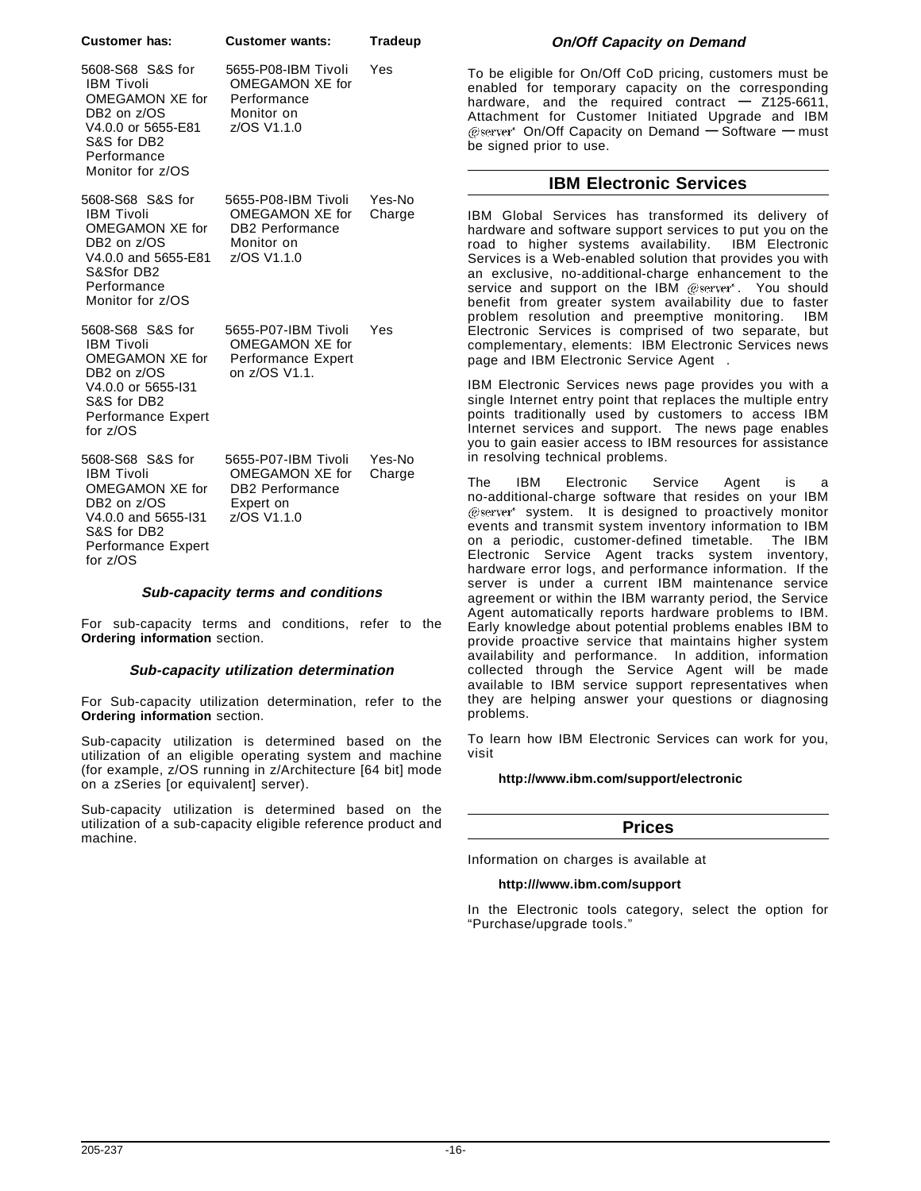| oustomer nas:                                                                                                                                     | Customer wants:                                                                               | ı rageup         |
|---------------------------------------------------------------------------------------------------------------------------------------------------|-----------------------------------------------------------------------------------------------|------------------|
| 5608-S68 S&S for<br><b>IBM Tivoli</b><br>OMEGAMON XE for<br>DB2 on z/OS<br>V4.0.0 or 5655-E81<br>S&S for DB2<br>Performance<br>Monitor for z/OS   | 5655-P08-IBM Tivoli<br>OMEGAMON XE for<br>Performance<br>Monitor on<br>z/OS V1.1.0            | Yes              |
| 5608-S68 S&S for<br><b>IBM Tivoli</b><br>OMEGAMON XE for<br>DB2 on z/OS<br>V4.0.0 and 5655-E81<br>S&Sfor DB2<br>Performance<br>Monitor for z/OS   | 5655-P08-IBM Tivoli<br>OMEGAMON XE for<br><b>DB2 Performance</b><br>Monitor on<br>z/OS V1.1.0 | Yes-No<br>Charge |
| 5608-S68 S&S for<br><b>IBM Tivoli</b><br>OMEGAMON XE for<br>DB2 on z/OS<br>V4.0.0 or 5655-131<br>S&S for DB2<br>Performance Expert<br>for $z/OS$  | 5655-P07-IBM Tivoli<br>OMEGAMON XE for<br><b>Performance Expert</b><br>on z/OS V1.1.          | Yes              |
| 5608-S68 S&S for<br><b>IBM Tivoli</b><br>OMEGAMON XE for<br>DB2 on z/OS<br>V4.0.0 and 5655-131<br>S&S for DB2<br>Performance Expert<br>for $z/OS$ | 5655-P07-IBM Tivoli<br>OMEGAMON XE for<br><b>DB2</b> Performance<br>Expert on<br>z/OS V1.1.0  | Yes-No<br>Charge |

**Customer has: Customer wants: Tradeup**

#### **Sub-capacity terms and conditions**

For sub-capacity terms and conditions, refer to the **Ordering information** section.

#### **Sub-capacity utilization determination**

For Sub-capacity utilization determination, refer to the **Ordering information** section.

Sub-capacity utilization is determined based on the utilization of an eligible operating system and machine (for example, z/OS running in z/Architecture [64 bit] mode on a zSeries [or equivalent] server).

Sub-capacity utilization is determined based on the utilization of a sub-capacity eligible reference product and machine.

#### **On/Off Capacity on Demand**

To be eligible for On/Off CoD pricing, customers must be enabled for temporary capacity on the corresponding hardware, and the required contract **—** Z125-6611, Attachment for Customer Initiated Upgrade and IBM On/Off Capacity on Demand **—** Software **—** must be signed prior to use.

#### **IBM Electronic Services**

IBM Global Services has transformed its delivery of hardware and software support services to put you on the road to higher systems availability. IBM Electronic Services is a Web-enabled solution that provides you with an exclusive, no-additional-charge enhancement to the service and support on the IBM @server®. You should benefit from greater system availability due to faster problem resolution and preemptive monitoring. IBM Electronic Services is comprised of two separate, but complementary, elements: IBM Electronic Services news page and IBM Electronic Service Agent™.

IBM Electronic Services news page provides you with a single Internet entry point that replaces the multiple entry points traditionally used by customers to access IBM Internet services and support. The news page enables you to gain easier access to IBM resources for assistance in resolving technical problems.

The IBM Electronic Service Agent is a no-additional-charge software that resides on your IBM system. It is designed to proactively monitor events and transmit system inventory information to IBM<br>on a periodic, customer-defined timetable. The IBM on a periodic, customer-defined timetable. Electronic Service Agent tracks system inventory, hardware error logs, and performance information. If the server is under a current IBM maintenance service agreement or within the IBM warranty period, the Service Agent automatically reports hardware problems to IBM. Early knowledge about potential problems enables IBM to provide proactive service that maintains higher system availability and performance. In addition, information collected through the Service Agent will be made available to IBM service support representatives when they are helping answer your questions or diagnosing problems.

To learn how IBM Electronic Services can work for you, visit

#### **http://www.ibm.com/support/electronic**

#### **Prices**

Information on charges is available at

#### **http:///www.ibm.com/support**

In the Electronic tools category, select the option for "Purchase/upgrade tools."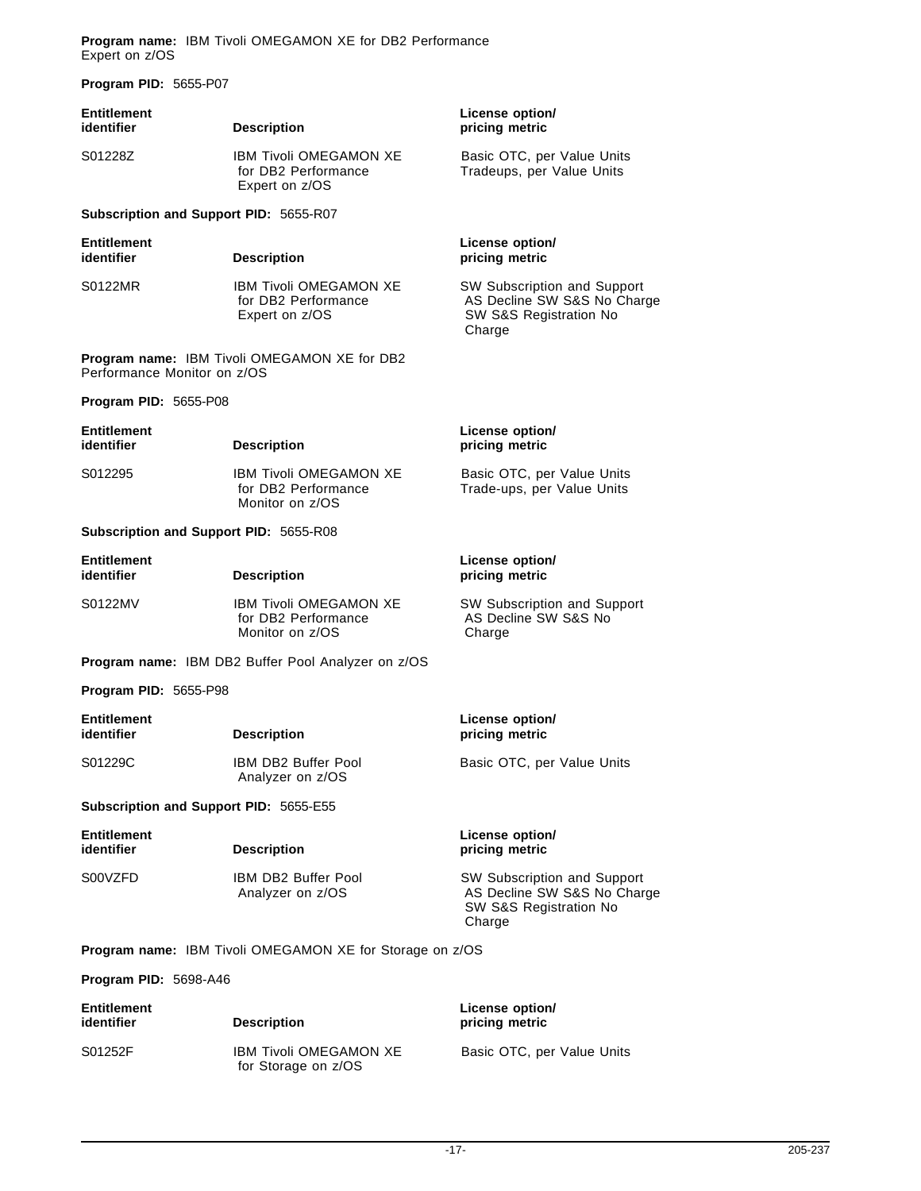**Program name:** IBM Tivoli OMEGAMON XE for DB2 Performance Expert on z/OS

**Program PID:** 5655-P07

| <b>Entitlement</b><br>identifier                   | <b>Description</b>                                                      | License option/<br>pricing metric                                                              |  |
|----------------------------------------------------|-------------------------------------------------------------------------|------------------------------------------------------------------------------------------------|--|
| S01228Z                                            | <b>IBM Tivoli OMEGAMON XE</b><br>for DB2 Performance<br>Expert on z/OS  | Basic OTC, per Value Units<br>Tradeups, per Value Units                                        |  |
| Subscription and Support PID: 5655-R07             |                                                                         |                                                                                                |  |
| <b>Entitlement</b><br>identifier                   | <b>Description</b>                                                      | License option/<br>pricing metric                                                              |  |
| S0122MR                                            | <b>IBM Tivoli OMEGAMON XE</b><br>for DB2 Performance<br>Expert on z/OS  | SW Subscription and Support<br>AS Decline SW S&S No Charge<br>SW S&S Registration No<br>Charge |  |
| Performance Monitor on z/OS                        | <b>Program name: IBM Tivoli OMEGAMON XE for DB2</b>                     |                                                                                                |  |
| Program PID: 5655-P08                              |                                                                         |                                                                                                |  |
| <b>Entitlement</b><br>identifier                   | <b>Description</b>                                                      | License option/<br>pricing metric                                                              |  |
| S012295                                            | <b>IBM Tivoli OMEGAMON XE</b><br>for DB2 Performance<br>Monitor on z/OS | Basic OTC, per Value Units<br>Trade-ups, per Value Units                                       |  |
| Subscription and Support PID: 5655-R08             |                                                                         |                                                                                                |  |
| <b>Entitlement</b><br>identifier                   | <b>Description</b>                                                      | License option/<br>pricing metric                                                              |  |
| S0122MV                                            | <b>IBM Tivoli OMEGAMON XE</b><br>for DB2 Performance<br>Monitor on z/OS | SW Subscription and Support<br>AS Decline SW S&S No<br>Charge                                  |  |
| Program name: IBM DB2 Buffer Pool Analyzer on z/OS |                                                                         |                                                                                                |  |
| Program PID: 5655-P98                              |                                                                         |                                                                                                |  |
| <b>Entitlement</b><br>identifier                   | <b>Description</b>                                                      | License option/<br>pricing metric                                                              |  |
| S01229C                                            | <b>IBM DB2 Buffer Pool</b><br>Analyzer on z/OS                          | Basic OTC, per Value Units                                                                     |  |
| Subscription and Support PID: 5655-E55             |                                                                         |                                                                                                |  |
| <b>Entitlement</b><br>identifier                   | <b>Description</b>                                                      | License option/<br>pricing metric                                                              |  |
| S00VZFD                                            | <b>IBM DB2 Buffer Pool</b><br>Analyzer on z/OS                          | SW Subscription and Support<br>AS Decline SW S&S No Charge<br>SW S&S Registration No<br>Charge |  |
|                                                    | <b>Program name:</b> IBM Tivoli OMEGAMON XE for Storage on z/OS         |                                                                                                |  |
| Program PID: 5698-A46                              |                                                                         |                                                                                                |  |
| <b>Entitlement</b><br>identifier                   | <b>Description</b>                                                      | License option/<br>pricing metric                                                              |  |
| S01252F                                            | IBM Tivoli OMEGAMON XE                                                  | Basic OTC, per Value Units                                                                     |  |

for Storage on z/OS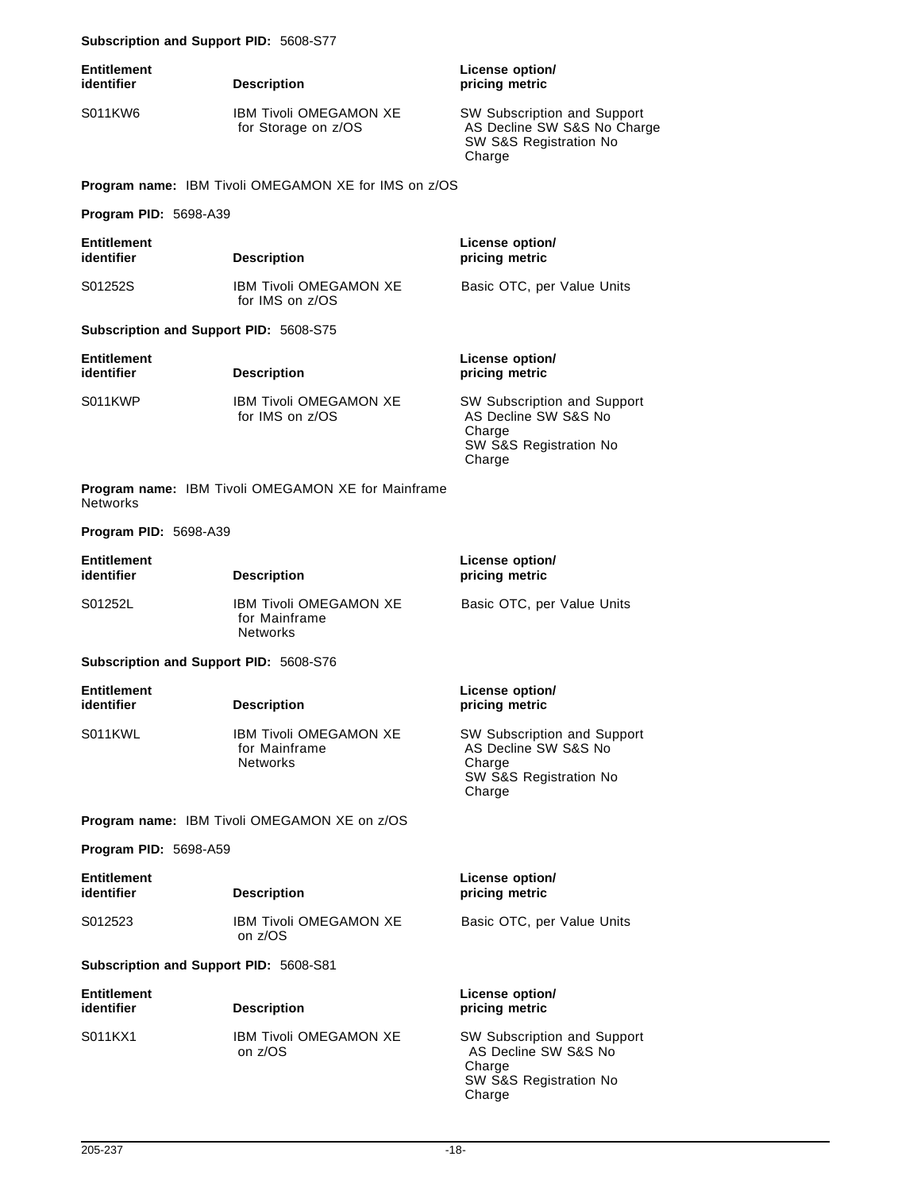#### **Subscription and Support PID:** 5608-S77

| Entitlement<br>identifier | <b>Description</b>                                   | License option/<br>pricing metric                                                              |
|---------------------------|------------------------------------------------------|------------------------------------------------------------------------------------------------|
| S011KW6                   | <b>IBM Tivoli OMEGAMON XE</b><br>for Storage on z/OS | SW Subscription and Support<br>AS Decline SW S&S No Charge<br>SW S&S Registration No<br>Charge |

**Program name:** IBM Tivoli OMEGAMON XE for IMS on z/OS

**Program PID:** 5698-A39

| <b>Entitlement</b><br>identifier              | <b>Description</b>                                        | License option/<br>pricing metric                                                                 |
|-----------------------------------------------|-----------------------------------------------------------|---------------------------------------------------------------------------------------------------|
| S01252S                                       | <b>IBM Tivoli OMFGAMON XF</b><br>for IMS on z/OS          | Basic OTC, per Value Units                                                                        |
| <b>Subscription and Support PID: 5608-S75</b> |                                                           |                                                                                                   |
| <b>Entitlement</b><br>identifier              | <b>Description</b>                                        | License option/<br>pricing metric                                                                 |
| S011KWP                                       | <b>IBM Tivoli OMFGAMON XF</b><br>for IMS on z/OS          | SW Subscription and Support<br>AS Decline SW S&S No<br>Charge<br>SW S&S Registration No<br>Charge |
| Networks                                      | <b>Program name: IBM Tivoli OMEGAMON XE for Mainframe</b> |                                                                                                   |
| <b>Program PID: 5698-A39</b>                  |                                                           |                                                                                                   |
| <b>Entitlement</b><br>identifier              | <b>Description</b>                                        | License option/<br>pricing metric                                                                 |
| S01252L                                       | <b>IBM Tivoli OMEGAMON XE</b><br>for Mainframe            | Basic OTC, per Value Units                                                                        |

**Subscription and Support PID:** 5608-S76

| <b>Entitlement</b><br>identifier | <b>Description</b>                                                | License option/<br>pricing metric                                                                        |
|----------------------------------|-------------------------------------------------------------------|----------------------------------------------------------------------------------------------------------|
| S011KWL                          | <b>IBM Tivoli OMEGAMON XE</b><br>for Mainframe<br><b>Networks</b> | <b>SW Subscription and Support</b><br>AS Decline SW S&S No<br>Charge<br>SW S&S Registration No<br>Charge |

**Program name:** IBM Tivoli OMEGAMON XE on z/OS

Networks

**Program PID:** 5698-A59

| <b>Entitlement</b><br>identifier | <b>Description</b>                       | License option/<br>pricing metric |
|----------------------------------|------------------------------------------|-----------------------------------|
| S012523                          | <b>IBM Tivoli OMEGAMON XE</b><br>on z/OS | Basic OTC, per Value Units        |
|                                  |                                          |                                   |

**Subscription and Support PID:** 5608-S81

| <b>Entitlement</b><br>identifier | <b>Description</b>                       | License option/<br>pricing metric                                                                 |
|----------------------------------|------------------------------------------|---------------------------------------------------------------------------------------------------|
| S011KX1                          | <b>IBM Tivoli OMEGAMON XE</b><br>on z/OS | SW Subscription and Support<br>AS Decline SW S&S No<br>Charge<br>SW S&S Registration No<br>Charge |